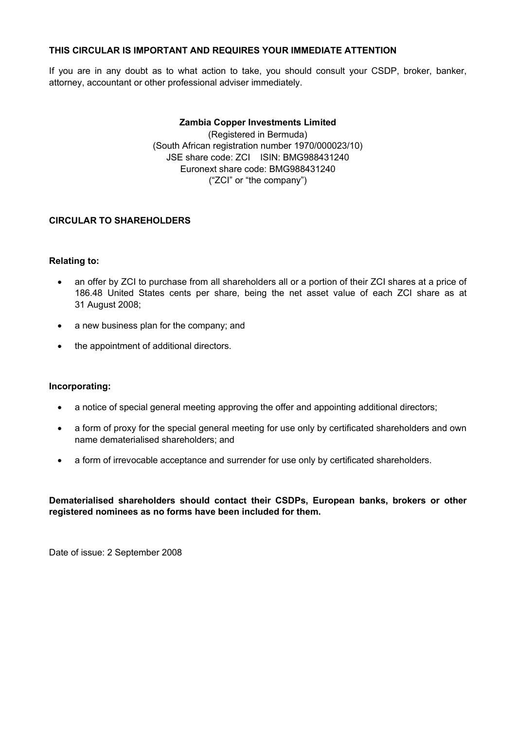## **THIS CIRCULAR IS IMPORTANT AND REQUIRES YOUR IMMEDIATE ATTENTION**

If you are in any doubt as to what action to take, you should consult your CSDP, broker, banker, attorney, accountant or other professional adviser immediately.

## **Zambia Copper Investments Limited**

(Registered in Bermuda) (South African registration number 1970/000023/10) JSE share code: ZCI ISIN: BMG988431240 Euronext share code: BMG988431240 ("ZCI" or "the company")

## **CIRCULAR TO SHAREHOLDERS**

## **Relating to:**

- an offer by ZCI to purchase from all shareholders all or a portion of their ZCI shares at a price of 186.48 United States cents per share, being the net asset value of each ZCI share as at 31 August 2008;
- a new business plan for the company; and
- the appointment of additional directors.

## **Incorporating:**

- a notice of special general meeting approving the offer and appointing additional directors;
- a form of proxy for the special general meeting for use only by certificated shareholders and own name dematerialised shareholders; and
- a form of irrevocable acceptance and surrender for use only by certificated shareholders.

**Dematerialised shareholders should contact their CSDPs, European banks, brokers or other registered nominees as no forms have been included for them.**

Date of issue: 2 September 2008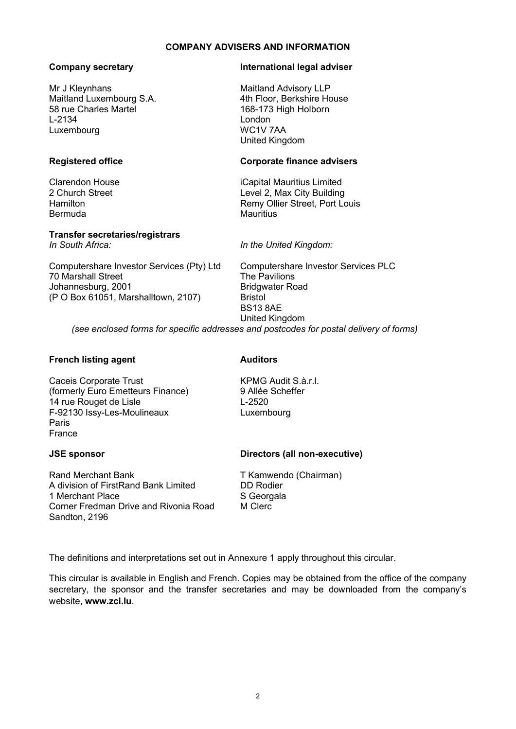#### **COMPANY ADVISERS AND INFORMATION**

#### **Company secretary**

Mr J Kleynhans Maitland Luxembourg S.A. 58 rue Charles Martel L-2134 Luxembourg

## **Registered office**

Clarendon House 2 Church Street Hamilton Bermuda

# **Transfer secretaries/registrars**

*In South Africa:*

Computershare Investor Services (Pty) Ltd 70 Marshall Street Johannesburg, 2001 (P O Box 61051, Marshalltown, 2107)

Computershare Investor Services PLC The Pavilions Bridgwater Road

United Kingdom *(see enclosed forms for specific addresses and postcodes for postal delivery of forms)*

Bristol BS13 8AE

## **French listing agent**

Caceis Corporate Trust (formerly Euro Emetteurs Finance) 14 rue Rouget de Lisle F-92130 Issy-Les-Moulineaux Paris France

#### **JSE sponsor**

Rand Merchant Bank A division of FirstRand Bank Limited 1 Merchant Place Corner Fredman Drive and Rivonia Road Sandton, 2196

#### **Auditors**

KPMG Audit S.à.r.l. 9 Allée Scheffer L-2520 Luxembourg

## **Directors (all non-executive)**

T Kamwendo (Chairman) DD Rodier S Georgala M Clerc

The definitions and interpretations set out in Annexure 1 apply throughout this circular.

This circular is available in English and French. Copies may be obtained from the office of the company secretary, the sponsor and the transfer secretaries and may be downloaded from the company's website, **<www.z>ci.lu**.

#### **International legal adviser**

Maitland Advisory LLP 4th Floor, Berkshire House 168-173 High Holborn London WC1V 7AA United Kingdom

#### **Corporate finance advisers**

Level 2, Max City Building Remy Ollier Street, Port Louis **Mauritius** 

iCapital Mauritius Limited

*In the United Kingdom:*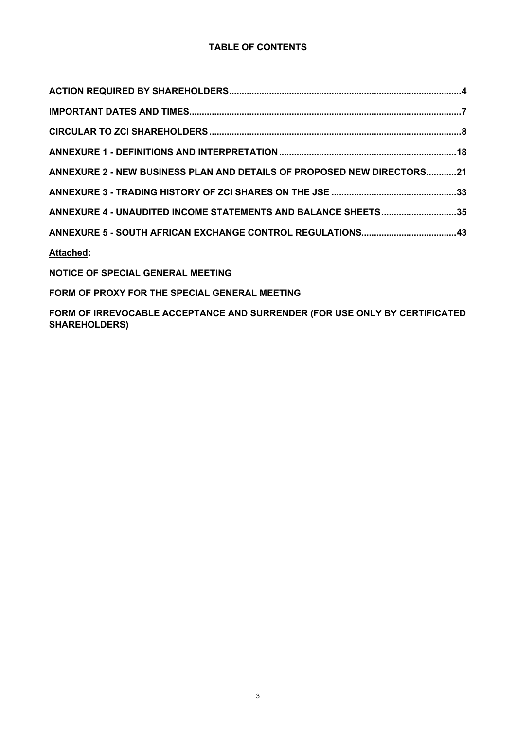| ANNEXURE 2 - NEW BUSINESS PLAN AND DETAILS OF PROPOSED NEW DIRECTORS21 |  |
|------------------------------------------------------------------------|--|
|                                                                        |  |
| ANNEXURE 4 - UNAUDITED INCOME STATEMENTS AND BALANCE SHEETS35          |  |
|                                                                        |  |
| <b>Attached:</b>                                                       |  |

**NOTICE OF SPECIAL GENERAL MEETING**

**FORM OF PROXY FOR THE SPECIAL GENERAL MEETING**

**FORM OF IRREVOCABLE ACCEPTANCE AND SURRENDER (FOR USE ONLY BY CERTIFICATED SHAREHOLDERS)**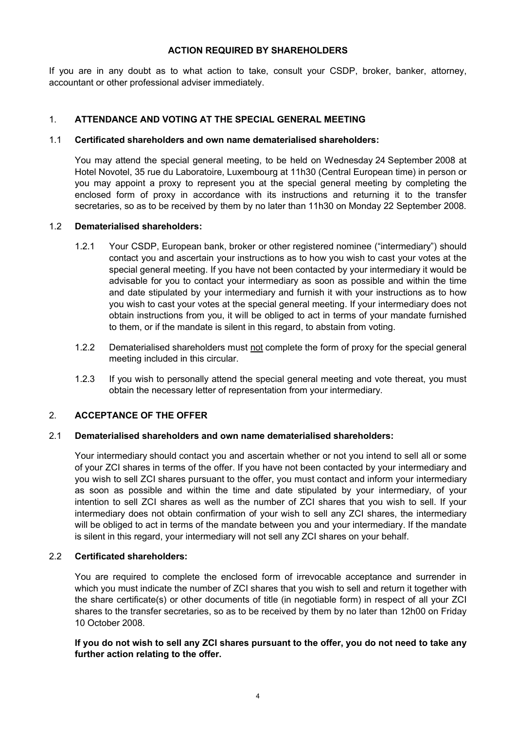#### **ACTION REQUIRED BY SHAREHOLDERS**

If you are in any doubt as to what action to take, consult your CSDP, broker, banker, attorney, accountant or other professional adviser immediately.

## 1. **ATTENDANCE AND VOTING AT THE SPECIAL GENERAL MEETING**

## 1.1 **Certificated shareholders and own name dematerialised shareholders:**

You may attend the special general meeting, to be held on Wednesday 24 September 2008 at Hotel Novotel, 35 rue du Laboratoire, Luxembourg at 11h30 (Central European time) in person or you may appoint a proxy to represent you at the special general meeting by completing the enclosed form of proxy in accordance with its instructions and returning it to the transfer secretaries, so as to be received by them by no later than 11h30 on Monday 22 September 2008.

#### 1.2 **Dematerialised shareholders:**

- 1.2.1 Your CSDP, European bank, broker or other registered nominee ("intermediary") should contact you and ascertain your instructions as to how you wish to cast your votes at the special general meeting. If you have not been contacted by your intermediary it would be advisable for you to contact your intermediary as soon as possible and within the time and date stipulated by your intermediary and furnish it with your instructions as to how you wish to cast your votes at the special general meeting. If your intermediary does not obtain instructions from you, it will be obliged to act in terms of your mandate furnished to them, or if the mandate is silent in this regard, to abstain from voting.
- 1.2.2 Dematerialised shareholders must not complete the form of proxy for the special general meeting included in this circular.
- 1.2.3 If you wish to personally attend the special general meeting and vote thereat, you must obtain the necessary letter of representation from your intermediary.

## 2. **ACCEPTANCE OF THE OFFER**

## 2.1 **Dematerialised shareholders and own name dematerialised shareholders:**

Your intermediary should contact you and ascertain whether or not you intend to sell all or some of your ZCI shares in terms of the offer. If you have not been contacted by your intermediary and you wish to sell ZCI shares pursuant to the offer, you must contact and inform your intermediary as soon as possible and within the time and date stipulated by your intermediary, of your intention to sell ZCI shares as well as the number of ZCI shares that you wish to sell. If your intermediary does not obtain confirmation of your wish to sell any ZCI shares, the intermediary will be obliged to act in terms of the mandate between you and your intermediary. If the mandate is silent in this regard, your intermediary will not sell any ZCI shares on your behalf.

## 2.2 **Certificated shareholders:**

You are required to complete the enclosed form of irrevocable acceptance and surrender in which you must indicate the number of ZCI shares that you wish to sell and return it together with the share certificate(s) or other documents of title (in negotiable form) in respect of all your ZCI shares to the transfer secretaries, so as to be received by them by no later than 12h00 on Friday 10 October 2008.

## **If you do not wish to sell any ZCI shares pursuant to the offer, you do not need to take any further action relating to the offer.**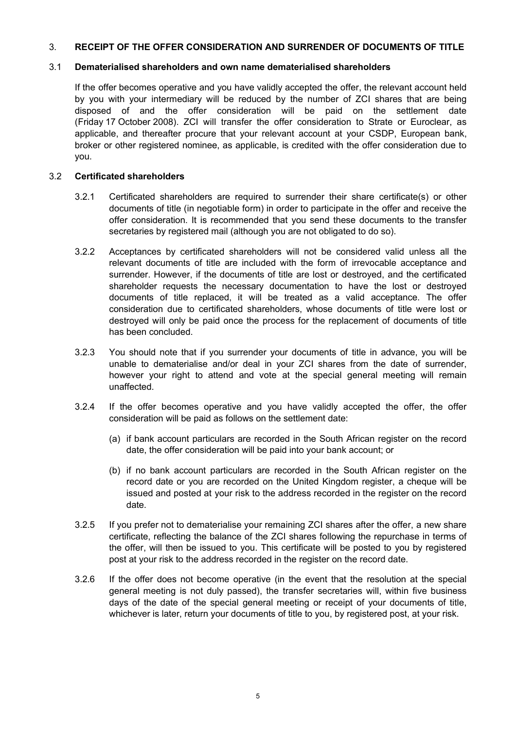#### 3. **RECEIPT OF THE OFFER CONSIDERATION AND SURRENDER OF DOCUMENTS OF TITLE**

#### 3.1 **Dematerialised shareholders and own name dematerialised shareholders**

If the offer becomes operative and you have validly accepted the offer, the relevant account held by you with your intermediary will be reduced by the number of ZCI shares that are being disposed of and the offer consideration will be paid on the settlement date (Friday 17 October 2008). ZCI will transfer the offer consideration to Strate or Euroclear, as applicable, and thereafter procure that your relevant account at your CSDP, European bank, broker or other registered nominee, as applicable, is credited with the offer consideration due to you.

#### 3.2 **Certificated shareholders**

- 3.2.1 Certificated shareholders are required to surrender their share certificate(s) or other documents of title (in negotiable form) in order to participate in the offer and receive the offer consideration. It is recommended that you send these documents to the transfer secretaries by registered mail (although you are not obligated to do so).
- 3.2.2 Acceptances by certificated shareholders will not be considered valid unless all the relevant documents of title are included with the form of irrevocable acceptance and surrender. However, if the documents of title are lost or destroyed, and the certificated shareholder requests the necessary documentation to have the lost or destroyed documents of title replaced, it will be treated as a valid acceptance. The offer consideration due to certificated shareholders, whose documents of title were lost or destroyed will only be paid once the process for the replacement of documents of title has been concluded.
- 3.2.3 You should note that if you surrender your documents of title in advance, you will be unable to dematerialise and/or deal in your ZCI shares from the date of surrender, however your right to attend and vote at the special general meeting will remain unaffected.
- 3.2.4 If the offer becomes operative and you have validly accepted the offer, the offer consideration will be paid as follows on the settlement date:
	- (a) if bank account particulars are recorded in the South African register on the record date, the offer consideration will be paid into your bank account; or
	- (b) if no bank account particulars are recorded in the South African register on the record date or you are recorded on the United Kingdom register, a cheque will be issued and posted at your risk to the address recorded in the register on the record date.
- 3.2.5 If you prefer not to dematerialise your remaining ZCI shares after the offer, a new share certificate, reflecting the balance of the ZCI shares following the repurchase in terms of the offer, will then be issued to you. This certificate will be posted to you by registered post at your risk to the address recorded in the register on the record date.
- 3.2.6 If the offer does not become operative (in the event that the resolution at the special general meeting is not duly passed), the transfer secretaries will, within five business days of the date of the special general meeting or receipt of your documents of title, whichever is later, return your documents of title to you, by registered post, at your risk.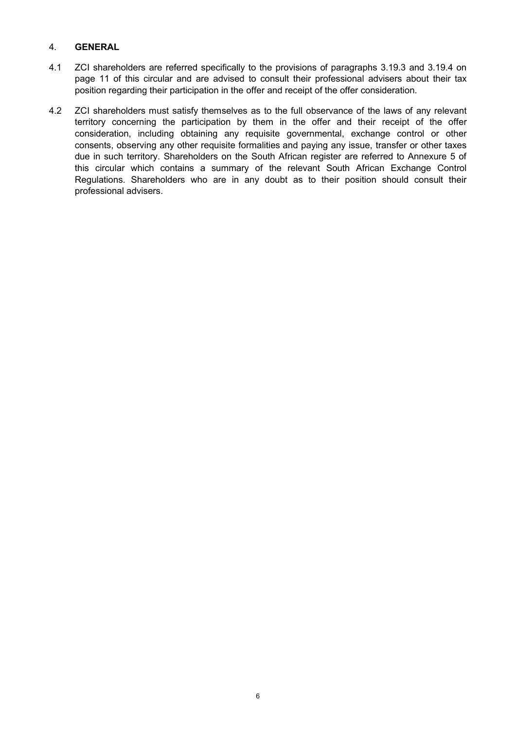#### 4. **GENERAL**

- 4.1 ZCI shareholders are referred specifically to the provisions of paragraphs 3.19.3 and 3.19.4 on page 11 of this circular and are advised to consult their professional advisers about their tax position regarding their participation in the offer and receipt of the offer consideration.
- 4.2 ZCI shareholders must satisfy themselves as to the full observance of the laws of any relevant territory concerning the participation by them in the offer and their receipt of the offer consideration, including obtaining any requisite governmental, exchange control or other consents, observing any other requisite formalities and paying any issue, transfer or other taxes due in such territory. Shareholders on the South African register are referred to Annexure 5 of this circular which contains a summary of the relevant South African Exchange Control Regulations. Shareholders who are in any doubt as to their position should consult their professional advisers.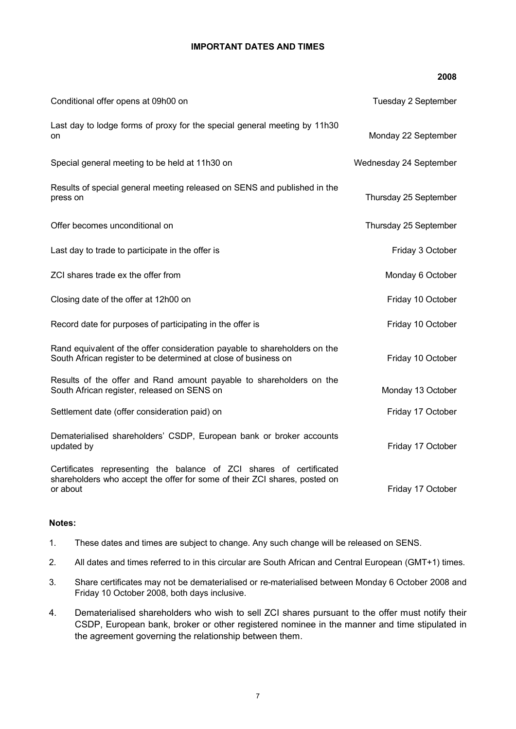#### **IMPORTANT DATES AND TIMES**

|                                                                                                                                                              | 2008                   |
|--------------------------------------------------------------------------------------------------------------------------------------------------------------|------------------------|
| Conditional offer opens at 09h00 on                                                                                                                          | Tuesday 2 September    |
| Last day to lodge forms of proxy for the special general meeting by 11h30<br>on                                                                              | Monday 22 September    |
| Special general meeting to be held at 11h30 on                                                                                                               | Wednesday 24 September |
| Results of special general meeting released on SENS and published in the<br>press on                                                                         | Thursday 25 September  |
| Offer becomes unconditional on                                                                                                                               | Thursday 25 September  |
| Last day to trade to participate in the offer is                                                                                                             | Friday 3 October       |
| ZCI shares trade ex the offer from                                                                                                                           | Monday 6 October       |
| Closing date of the offer at 12h00 on                                                                                                                        | Friday 10 October      |
| Record date for purposes of participating in the offer is                                                                                                    | Friday 10 October      |
| Rand equivalent of the offer consideration payable to shareholders on the<br>South African register to be determined at close of business on                 | Friday 10 October      |
| Results of the offer and Rand amount payable to shareholders on the<br>South African register, released on SENS on                                           | Monday 13 October      |
| Settlement date (offer consideration paid) on                                                                                                                | Friday 17 October      |
| Dematerialised shareholders' CSDP, European bank or broker accounts<br>updated by                                                                            | Friday 17 October      |
| Certificates representing the balance of ZCI shares of certificated<br>shareholders who accept the offer for some of their ZCI shares, posted on<br>or about | Friday 17 October      |

#### **Notes:**

- 1. These dates and times are subject to change. Any such change will be released on SENS.
- 2. All dates and times referred to in this circular are South African and Central European (GMT+1) times.
- 3. Share certificates may not be dematerialised or re-materialised between Monday 6 October 2008 and Friday 10 October 2008, both days inclusive.
- 4. Dematerialised shareholders who wish to sell ZCI shares pursuant to the offer must notify their CSDP, European bank, broker or other registered nominee in the manner and time stipulated in the agreement governing the relationship between them.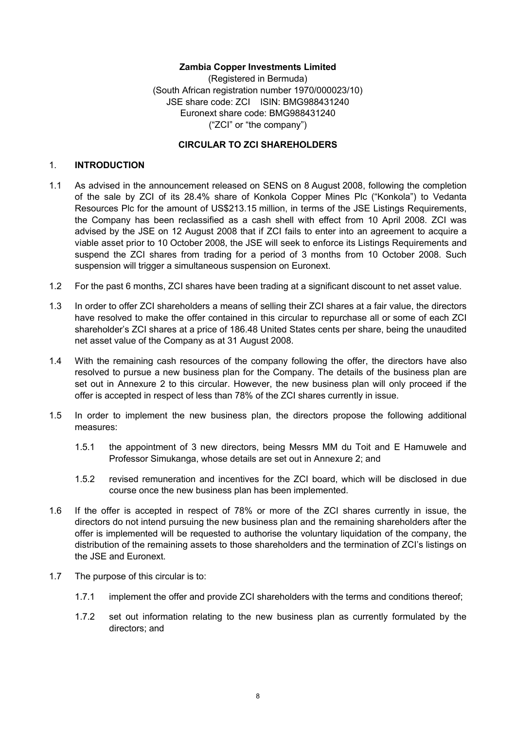#### **Zambia Copper Investments Limited**

(Registered in Bermuda) (South African registration number 1970/000023/10) JSE share code: ZCI ISIN: BMG988431240 Euronext share code: BMG988431240 ("ZCI" or "the company")

#### **CIRCULAR TO ZCI SHAREHOLDERS**

#### 1. **INTRODUCTION**

- 1.1 As advised in the announcement released on SENS on 8 August 2008, following the completion of the sale by ZCI of its 28.4% share of Konkola Copper Mines Plc ("Konkola") to Vedanta Resources Plc for the amount of US\$213.15 million, in terms of the JSE Listings Requirements, the Company has been reclassified as a cash shell with effect from 10 April 2008. ZCI was advised by the JSE on 12 August 2008 that if ZCI fails to enter into an agreement to acquire a viable asset prior to 10 October 2008, the JSE will seek to enforce its Listings Requirements and suspend the ZCI shares from trading for a period of 3 months from 10 October 2008. Such suspension will trigger a simultaneous suspension on Euronext.
- 1.2 For the past 6 months, ZCI shares have been trading at a significant discount to net asset value.
- 1.3 In order to offer ZCI shareholders a means of selling their ZCI shares at a fair value, the directors have resolved to make the offer contained in this circular to repurchase all or some of each ZCI shareholder's ZCI shares at a price of 186.48 United States cents per share, being the unaudited net asset value of the Company as at 31 August 2008.
- 1.4 With the remaining cash resources of the company following the offer, the directors have also resolved to pursue a new business plan for the Company. The details of the business plan are set out in Annexure 2 to this circular. However, the new business plan will only proceed if the offer is accepted in respect of less than 78% of the ZCI shares currently in issue.
- 1.5 In order to implement the new business plan, the directors propose the following additional measures:
	- 1.5.1 the appointment of 3 new directors, being Messrs MM du Toit and E Hamuwele and Professor Simukanga, whose details are set out in Annexure 2; and
	- 1.5.2 revised remuneration and incentives for the ZCI board, which will be disclosed in due course once the new business plan has been implemented.
- 1.6 If the offer is accepted in respect of 78% or more of the ZCI shares currently in issue, the directors do not intend pursuing the new business plan and the remaining shareholders after the offer is implemented will be requested to authorise the voluntary liquidation of the company, the distribution of the remaining assets to those shareholders and the termination of ZCI's listings on the JSE and Euronext.
- 1.7 The purpose of this circular is to:
	- 1.7.1 implement the offer and provide ZCI shareholders with the terms and conditions thereof;
	- 1.7.2 set out information relating to the new business plan as currently formulated by the directors; and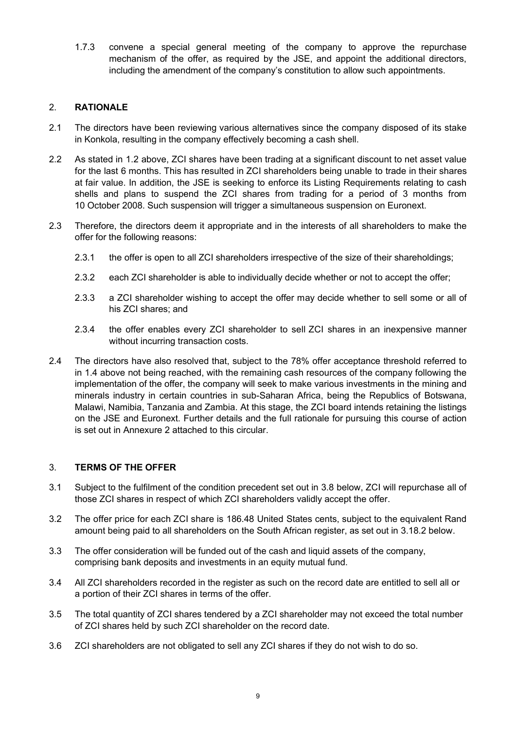1.7.3 convene a special general meeting of the company to approve the repurchase mechanism of the offer, as required by the JSE, and appoint the additional directors, including the amendment of the company's constitution to allow such appointments.

## 2. **RATIONALE**

- 2.1 The directors have been reviewing various alternatives since the company disposed of its stake in Konkola, resulting in the company effectively becoming a cash shell.
- 2.2 As stated in 1.2 above, ZCI shares have been trading at a significant discount to net asset value for the last 6 months. This has resulted in ZCI shareholders being unable to trade in their shares at fair value. In addition, the JSE is seeking to enforce its Listing Requirements relating to cash shells and plans to suspend the ZCI shares from trading for a period of 3 months from 10 October 2008. Such suspension will trigger a simultaneous suspension on Euronext.
- 2.3 Therefore, the directors deem it appropriate and in the interests of all shareholders to make the offer for the following reasons:
	- 2.3.1 the offer is open to all ZCI shareholders irrespective of the size of their shareholdings;
	- 2.3.2 each ZCI shareholder is able to individually decide whether or not to accept the offer;
	- 2.3.3 a ZCI shareholder wishing to accept the offer may decide whether to sell some or all of his ZCI shares; and
	- 2.3.4 the offer enables every ZCI shareholder to sell ZCI shares in an inexpensive manner without incurring transaction costs.
- 2.4 The directors have also resolved that, subject to the 78% offer acceptance threshold referred to in 1.4 above not being reached, with the remaining cash resources of the company following the implementation of the offer, the company will seek to make various investments in the mining and minerals industry in certain countries in sub-Saharan Africa, being the Republics of Botswana, Malawi, Namibia, Tanzania and Zambia. At this stage, the ZCI board intends retaining the listings on the JSE and Euronext. Further details and the full rationale for pursuing this course of action is set out in Annexure 2 attached to this circular.

## 3. **TERMS OF THE OFFER**

- 3.1 Subject to the fulfilment of the condition precedent set out in 3.8 below, ZCI will repurchase all of those ZCI shares in respect of which ZCI shareholders validly accept the offer.
- 3.2 The offer price for each ZCI share is 186.48 United States cents, subject to the equivalent Rand amount being paid to all shareholders on the South African register, as set out in 3.18.2 below.
- 3.3 The offer consideration will be funded out of the cash and liquid assets of the company, comprising bank deposits and investments in an equity mutual fund.
- 3.4 All ZCI shareholders recorded in the register as such on the record date are entitled to sell all or a portion of their ZCI shares in terms of the offer.
- 3.5 The total quantity of ZCI shares tendered by a ZCI shareholder may not exceed the total number of ZCI shares held by such ZCI shareholder on the record date.
- 3.6 ZCI shareholders are not obligated to sell any ZCI shares if they do not wish to do so.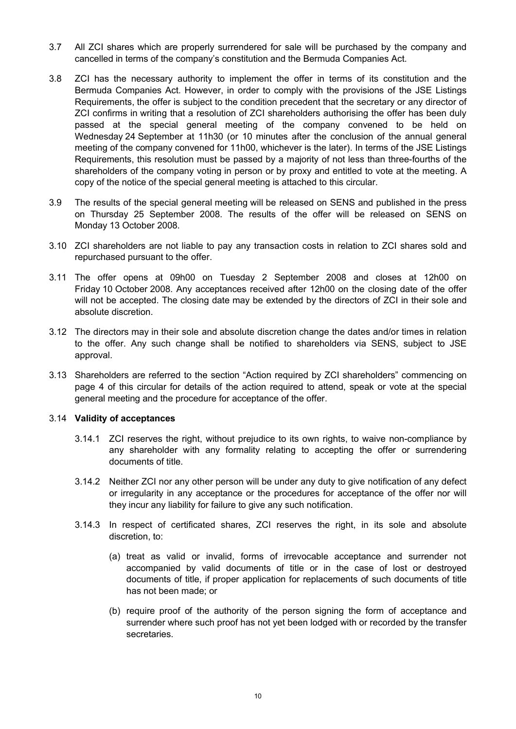- 3.7 All ZCI shares which are properly surrendered for sale will be purchased by the company and cancelled in terms of the company's constitution and the Bermuda Companies Act.
- 3.8 ZCI has the necessary authority to implement the offer in terms of its constitution and the Bermuda Companies Act. However, in order to comply with the provisions of the JSE Listings Requirements, the offer is subject to the condition precedent that the secretary or any director of ZCI confirms in writing that a resolution of ZCI shareholders authorising the offer has been duly passed at the special general meeting of the company convened to be held on Wednesday 24 September at 11h30 (or 10 minutes after the conclusion of the annual general meeting of the company convened for 11h00, whichever is the later). In terms of the JSE Listings Requirements, this resolution must be passed by a majority of not less than three-fourths of the shareholders of the company voting in person or by proxy and entitled to vote at the meeting. A copy of the notice of the special general meeting is attached to this circular.
- 3.9 The results of the special general meeting will be released on SENS and published in the press on Thursday 25 September 2008. The results of the offer will be released on SENS on Monday 13 October 2008.
- 3.10 ZCI shareholders are not liable to pay any transaction costs in relation to ZCI shares sold and repurchased pursuant to the offer.
- 3.11 The offer opens at 09h00 on Tuesday 2 September 2008 and closes at 12h00 on Friday 10 October 2008. Any acceptances received after 12h00 on the closing date of the offer will not be accepted. The closing date may be extended by the directors of ZCI in their sole and absolute discretion.
- 3.12 The directors may in their sole and absolute discretion change the dates and/or times in relation to the offer. Any such change shall be notified to shareholders via SENS, subject to JSE approval.
- 3.13 Shareholders are referred to the section "Action required by ZCI shareholders" commencing on page 4 of this circular for details of the action required to attend, speak or vote at the special general meeting and the procedure for acceptance of the offer.

#### 3.14 **Validity of acceptances**

- 3.14.1 ZCI reserves the right, without prejudice to its own rights, to waive non-compliance by any shareholder with any formality relating to accepting the offer or surrendering documents of title.
- 3.14.2 Neither ZCI nor any other person will be under any duty to give notification of any defect or irregularity in any acceptance or the procedures for acceptance of the offer nor will they incur any liability for failure to give any such notification.
- 3.14.3 In respect of certificated shares, ZCI reserves the right, in its sole and absolute discretion, to:
	- (a) treat as valid or invalid, forms of irrevocable acceptance and surrender not accompanied by valid documents of title or in the case of lost or destroyed documents of title, if proper application for replacements of such documents of title has not been made; or
	- (b) require proof of the authority of the person signing the form of acceptance and surrender where such proof has not yet been lodged with or recorded by the transfer secretaries.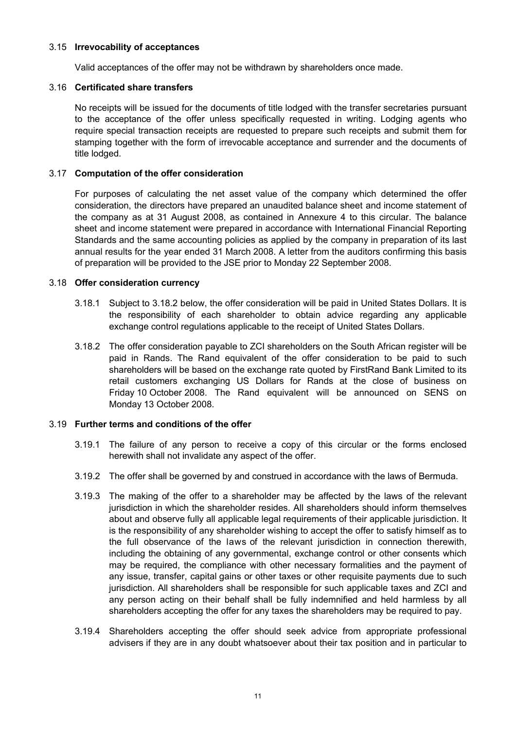#### 3.15 **Irrevocability of acceptances**

Valid acceptances of the offer may not be withdrawn by shareholders once made.

#### 3.16 **Certificated share transfers**

No receipts will be issued for the documents of title lodged with the transfer secretaries pursuant to the acceptance of the offer unless specifically requested in writing. Lodging agents who require special transaction receipts are requested to prepare such receipts and submit them for stamping together with the form of irrevocable acceptance and surrender and the documents of title lodged.

## 3.17 **Computation of the offer consideration**

For purposes of calculating the net asset value of the company which determined the offer consideration, the directors have prepared an unaudited balance sheet and income statement of the company as at 31 August 2008, as contained in Annexure 4 to this circular. The balance sheet and income statement were prepared in accordance with International Financial Reporting Standards and the same accounting policies as applied by the company in preparation of its last annual results for the year ended 31 March 2008. A letter from the auditors confirming this basis of preparation will be provided to the JSE prior to Monday 22 September 2008.

#### 3.18 **Offer consideration currency**

- 3.18.1 Subject to 3.18.2 below, the offer consideration will be paid in United States Dollars. It is the responsibility of each shareholder to obtain advice regarding any applicable exchange control regulations applicable to the receipt of United States Dollars.
- 3.18.2 The offer consideration payable to ZCI shareholders on the South African register will be paid in Rands. The Rand equivalent of the offer consideration to be paid to such shareholders will be based on the exchange rate quoted by FirstRand Bank Limited to its retail customers exchanging US Dollars for Rands at the close of business on Friday 10 October 2008. The Rand equivalent will be announced on SENS on Monday 13 October 2008.

## 3.19 **Further terms and conditions of the offer**

- 3.19.1 The failure of any person to receive a copy of this circular or the forms enclosed herewith shall not invalidate any aspect of the offer.
- 3.19.2 The offer shall be governed by and construed in accordance with the laws of Bermuda.
- 3.19.3 The making of the offer to a shareholder may be affected by the laws of the relevant jurisdiction in which the shareholder resides. All shareholders should inform themselves about and observe fully all applicable legal requirements of their applicable jurisdiction. It is the responsibility of any shareholder wishing to accept the offer to satisfy himself as to the full observance of the laws of the relevant jurisdiction in connection therewith, including the obtaining of any governmental, exchange control or other consents which may be required, the compliance with other necessary formalities and the payment of any issue, transfer, capital gains or other taxes or other requisite payments due to such jurisdiction. All shareholders shall be responsible for such applicable taxes and ZCI and any person acting on their behalf shall be fully indemnified and held harmless by all shareholders accepting the offer for any taxes the shareholders may be required to pay.
- 3.19.4 Shareholders accepting the offer should seek advice from appropriate professional advisers if they are in any doubt whatsoever about their tax position and in particular to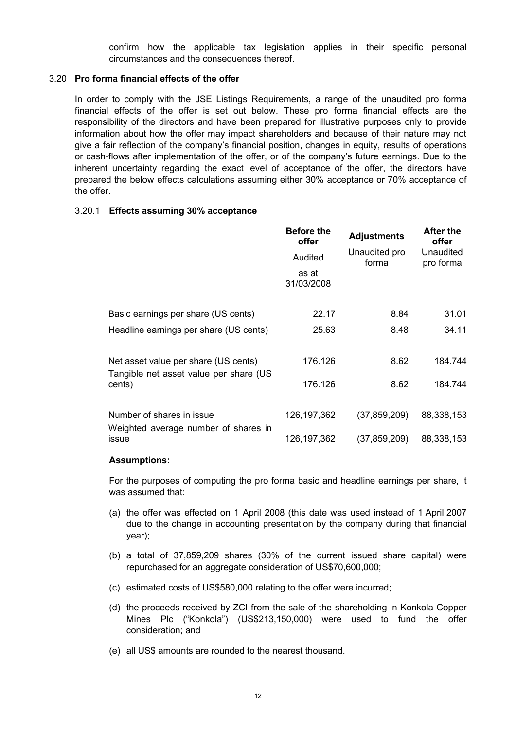confirm how the applicable tax legislation applies in their specific personal circumstances and the consequences thereof.

#### 3.20 **Pro forma financial effects of the offer**

In order to comply with the JSE Listings Requirements, a range of the unaudited pro forma financial effects of the offer is set out below. These pro forma financial effects are the responsibility of the directors and have been prepared for illustrative purposes only to provide information about how the offer may impact shareholders and because of their nature may not give a fair reflection of the company's financial position, changes in equity, results of operations or cash-flows after implementation of the offer, or of the company's future earnings. Due to the inherent uncertainty regarding the exact level of acceptance of the offer, the directors have prepared the below effects calculations assuming either 30% acceptance or 70% acceptance of the offer.

#### 3.20.1 **Effects assuming 30% acceptance**

| <b>Before the</b><br>offer | <b>Adjustments</b> | <b>After the</b><br>offer |
|----------------------------|--------------------|---------------------------|
| Audited                    | Unaudited pro      | Unaudited<br>pro forma    |
| as at<br>31/03/2008        |                    |                           |
| 22.17                      | 8.84               | 31.01                     |
| 25.63                      | 8.48               | 34.11                     |
|                            | 8.62               | 184.744                   |
|                            |                    | 184.744                   |
|                            |                    |                           |
| 126, 197, 362              | (37, 859, 209)     | 88,338,153                |
| 126, 197, 362              | (37,859,209)       | 88,338,153                |
|                            | 176.126<br>176.126 | forma<br>8.62             |

#### **Assumptions:**

For the purposes of computing the pro forma basic and headline earnings per share, it was assumed that:

- (a) the offer was effected on 1 April 2008 (this date was used instead of 1 April 2007 due to the change in accounting presentation by the company during that financial year);
- (b) a total of 37,859,209 shares (30% of the current issued share capital) were repurchased for an aggregate consideration of US\$70,600,000;
- (c) estimated costs of US\$580,000 relating to the offer were incurred;
- (d) the proceeds received by ZCI from the sale of the shareholding in Konkola Copper Mines Plc ("Konkola") (US\$213,150,000) were used to fund the offer consideration; and
- (e) all US\$ amounts are rounded to the nearest thousand.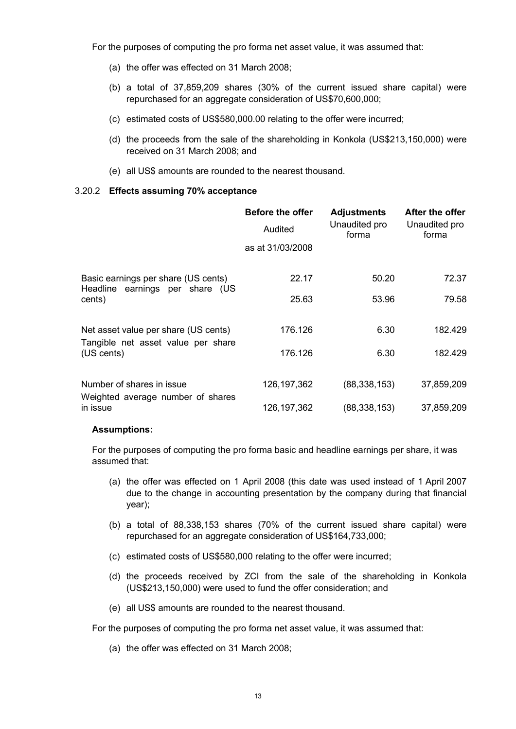For the purposes of computing the pro forma net asset value, it was assumed that:

- (a) the offer was effected on 31 March 2008;
- (b) a total of 37,859,209 shares (30% of the current issued share capital) were repurchased for an aggregate consideration of US\$70,600,000;
- (c) estimated costs of US\$580,000.00 relating to the offer were incurred;
- (d) the proceeds from the sale of the shareholding in Konkola (US\$213,150,000) were received on 31 March 2008; and
- (e) all US\$ amounts are rounded to the nearest thousand.

#### 3.20.2 **Effects assuming 70% acceptance**

|                                                                            | <b>Before the offer</b><br>Audited<br>as at 31/03/2008 | <b>Adjustments</b><br>Unaudited pro<br>forma | After the offer<br>Unaudited pro<br>forma |
|----------------------------------------------------------------------------|--------------------------------------------------------|----------------------------------------------|-------------------------------------------|
| Basic earnings per share (US cents)<br>Headline earnings per share (US     | 22.17                                                  | 50.20                                        | 72.37                                     |
| cents)                                                                     | 25.63                                                  | 53.96                                        | 79.58                                     |
| Net asset value per share (US cents)<br>Tangible net asset value per share | 176.126                                                | 6.30                                         | 182.429                                   |
| (US cents)                                                                 | 176.126                                                | 6.30                                         | 182.429                                   |
| Number of shares in issue<br>Weighted average number of shares             | 126,197,362                                            | (88, 338, 153)                               | 37,859,209                                |
| in issue                                                                   | 126,197,362                                            | (88, 338, 153)                               | 37,859,209                                |

#### **Assumptions:**

For the purposes of computing the pro forma basic and headline earnings per share, it was assumed that:

- (a) the offer was effected on 1 April 2008 (this date was used instead of 1 April 2007 due to the change in accounting presentation by the company during that financial year);
- (b) a total of 88,338,153 shares (70% of the current issued share capital) were repurchased for an aggregate consideration of US\$164,733,000;
- (c) estimated costs of US\$580,000 relating to the offer were incurred;
- (d) the proceeds received by ZCI from the sale of the shareholding in Konkola (US\$213,150,000) were used to fund the offer consideration; and
- (e) all US\$ amounts are rounded to the nearest thousand.

For the purposes of computing the pro forma net asset value, it was assumed that:

(a) the offer was effected on 31 March 2008;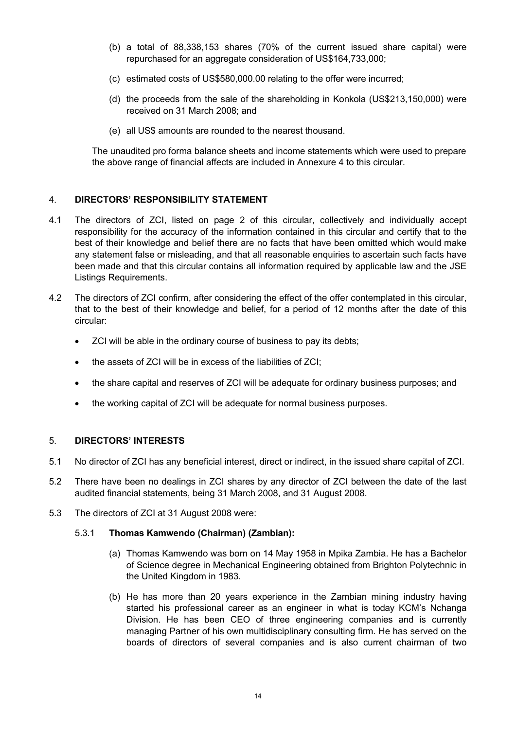- (b) a total of 88,338,153 shares (70% of the current issued share capital) were repurchased for an aggregate consideration of US\$164,733,000;
- (c) estimated costs of US\$580,000.00 relating to the offer were incurred;
- (d) the proceeds from the sale of the shareholding in Konkola (US\$213,150,000) were received on 31 March 2008; and
- (e) all US\$ amounts are rounded to the nearest thousand.

The unaudited pro forma balance sheets and income statements which were used to prepare the above range of financial affects are included in Annexure 4 to this circular.

## 4. **DIRECTORS' RESPONSIBILITY STATEMENT**

- 4.1 The directors of ZCI, listed on page 2 of this circular, collectively and individually accept responsibility for the accuracy of the information contained in this circular and certify that to the best of their knowledge and belief there are no facts that have been omitted which would make any statement false or misleading, and that all reasonable enquiries to ascertain such facts have been made and that this circular contains all information required by applicable law and the JSE Listings Requirements.
- 4.2 The directors of ZCI confirm, after considering the effect of the offer contemplated in this circular, that to the best of their knowledge and belief, for a period of 12 months after the date of this circular:
	- ZCI will be able in the ordinary course of business to pay its debts;
	- the assets of ZCI will be in excess of the liabilities of ZCI;
	- the share capital and reserves of ZCI will be adequate for ordinary business purposes; and
	- the working capital of ZCI will be adequate for normal business purposes.

#### 5. **DIRECTORS' INTERESTS**

- 5.1 No director of ZCI has any beneficial interest, direct or indirect, in the issued share capital of ZCI.
- 5.2 There have been no dealings in ZCI shares by any director of ZCI between the date of the last audited financial statements, being 31 March 2008, and 31 August 2008.
- 5.3 The directors of ZCI at 31 August 2008 were:

#### 5.3.1 **Thomas Kamwendo (Chairman) (Zambian):**

- (a) Thomas Kamwendo was born on 14 May 1958 in Mpika Zambia. He has a Bachelor of Science degree in Mechanical Engineering obtained from Brighton Polytechnic in the United Kingdom in 1983.
- (b) He has more than 20 years experience in the Zambian mining industry having started his professional career as an engineer in what is today KCM's Nchanga Division. He has been CEO of three engineering companies and is currently managing Partner of his own multidisciplinary consulting firm. He has served on the boards of directors of several companies and is also current chairman of two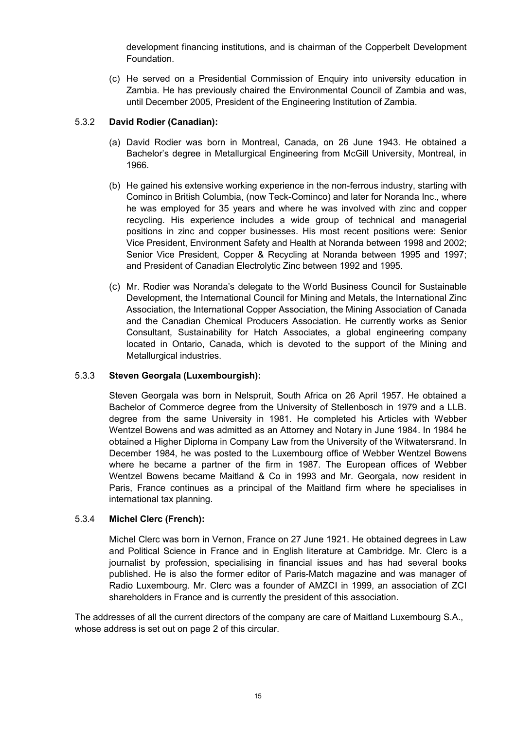development financing institutions, and is chairman of the Copperbelt Development Foundation.

(c) He served on a Presidential Commission of Enquiry into university education in Zambia. He has previously chaired the Environmental Council of Zambia and was, until December 2005, President of the Engineering Institution of Zambia.

## 5.3.2 **David Rodier (Canadian):**

- (a) David Rodier was born in Montreal, Canada, on 26 June 1943. He obtained a Bachelor's degree in Metallurgical Engineering from McGill University, Montreal, in 1966.
- (b) He gained his extensive working experience in the non-ferrous industry, starting with Cominco in British Columbia, (now Teck-Cominco) and later for Noranda Inc., where he was employed for 35 years and where he was involved with zinc and copper recycling. His experience includes a wide group of technical and managerial positions in zinc and copper businesses. His most recent positions were: Senior Vice President, Environment Safety and Health at Noranda between 1998 and 2002; Senior Vice President, Copper & Recycling at Noranda between 1995 and 1997; and President of Canadian Electrolytic Zinc between 1992 and 1995.
- (c) Mr. Rodier was Noranda's delegate to the World Business Council for Sustainable Development, the International Council for Mining and Metals, the International Zinc Association, the International Copper Association, the Mining Association of Canada and the Canadian Chemical Producers Association. He currently works as Senior Consultant, Sustainability for Hatch Associates, a global engineering company located in Ontario, Canada, which is devoted to the support of the Mining and Metallurgical industries.

## 5.3.3 **Steven Georgala (Luxembourgish):**

Steven Georgala was born in Nelspruit, South Africa on 26 April 1957. He obtained a Bachelor of Commerce degree from the University of Stellenbosch in 1979 and a LLB. degree from the same University in 1981. He completed his Articles with Webber Wentzel Bowens and was admitted as an Attorney and Notary in June 1984. In 1984 he obtained a Higher Diploma in Company Law from the University of the Witwatersrand. In December 1984, he was posted to the Luxembourg office of Webber Wentzel Bowens where he became a partner of the firm in 1987. The European offices of Webber Wentzel Bowens became Maitland & Co in 1993 and Mr. Georgala, now resident in Paris, France continues as a principal of the Maitland firm where he specialises in international tax planning.

## 5.3.4 **Michel Clerc (French):**

Michel Clerc was born in Vernon, France on 27 June 1921. He obtained degrees in Law and Political Science in France and in English literature at Cambridge. Mr. Clerc is a journalist by profession, specialising in financial issues and has had several books published. He is also the former editor of Paris-Match magazine and was manager of Radio Luxembourg. Mr. Clerc was a founder of AMZCI in 1999, an association of ZCI shareholders in France and is currently the president of this association.

The addresses of all the current directors of the company are care of Maitland Luxembourg S.A., whose address is set out on page 2 of this circular.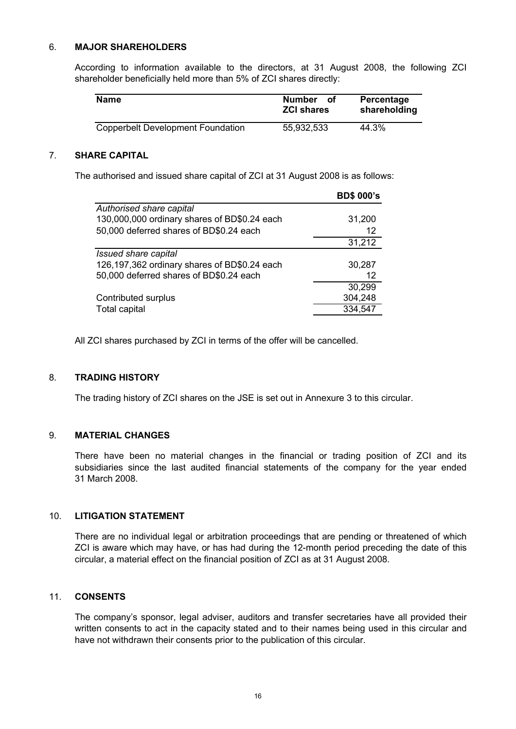#### 6. **MAJOR SHAREHOLDERS**

According to information available to the directors, at 31 August 2008, the following ZCI shareholder beneficially held more than 5% of ZCI shares directly:

| <b>Name</b>                              | <b>Number</b><br>Οf<br><b>ZCI shares</b> | Percentage<br>shareholding |
|------------------------------------------|------------------------------------------|----------------------------|
| <b>Copperbelt Development Foundation</b> | 55,932,533                               | 44.3%                      |

#### 7. **SHARE CAPITAL**

The authorised and issued share capital of ZCI at 31 August 2008 is as follows:

|                                              | <b>BD\$ 000's</b> |
|----------------------------------------------|-------------------|
| Authorised share capital                     |                   |
| 130,000,000 ordinary shares of BD\$0.24 each | 31,200            |
| 50,000 deferred shares of BD\$0.24 each      | 12 <sup>2</sup>   |
|                                              | 31,212            |
| Issued share capital                         |                   |
| 126,197,362 ordinary shares of BD\$0.24 each | 30,287            |
| 50,000 deferred shares of BD\$0.24 each      | 12                |
|                                              | 30,299            |
| Contributed surplus                          | 304,248           |
| <b>Total capital</b>                         | 334,547           |

All ZCI shares purchased by ZCI in terms of the offer will be cancelled.

#### 8. **TRADING HISTORY**

The trading history of ZCI shares on the JSE is set out in Annexure 3 to this circular.

#### 9. **MATERIAL CHANGES**

There have been no material changes in the financial or trading position of ZCI and its subsidiaries since the last audited financial statements of the company for the year ended 31 March 2008.

# 10. **LITIGATION STATEMENT**

There are no individual legal or arbitration proceedings that are pending or threatened of which ZCI is aware which may have, or has had during the 12-month period preceding the date of this circular, a material effect on the financial position of ZCI as at 31 August 2008.

#### 11. **CONSENTS**

The company's sponsor, legal adviser, auditors and transfer secretaries have all provided their written consents to act in the capacity stated and to their names being used in this circular and have not withdrawn their consents prior to the publication of this circular.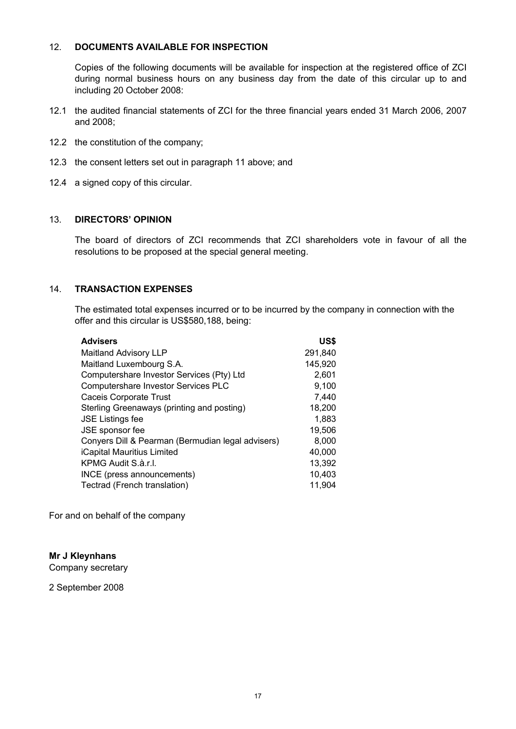#### 12. **DOCUMENTS AVAILABLE FOR INSPECTION**

Copies of the following documents will be available for inspection at the registered office of ZCI during normal business hours on any business day from the date of this circular up to and including 20 October 2008:

- 12.1 the audited financial statements of ZCI for the three financial years ended 31 March 2006, 2007 and 2008;
- 12.2 the constitution of the company;
- 12.3 the consent letters set out in paragraph 11 above; and
- 12.4 a signed copy of this circular.

#### 13. **DIRECTORS' OPINION**

The board of directors of ZCI recommends that ZCI shareholders vote in favour of all the resolutions to be proposed at the special general meeting.

## 14. **TRANSACTION EXPENSES**

The estimated total expenses incurred or to be incurred by the company in connection with the offer and this circular is US\$580,188, being:

| <b>Advisers</b>                                   | US\$    |
|---------------------------------------------------|---------|
| <b>Maitland Advisory LLP</b>                      | 291,840 |
| Maitland Luxembourg S.A.                          | 145,920 |
| Computershare Investor Services (Pty) Ltd         | 2,601   |
| Computershare Investor Services PLC               | 9,100   |
| <b>Caceis Corporate Trust</b>                     | 7,440   |
| Sterling Greenaways (printing and posting)        | 18,200  |
| <b>JSE Listings fee</b>                           | 1,883   |
| JSE sponsor fee                                   | 19,506  |
| Conyers Dill & Pearman (Bermudian legal advisers) | 8,000   |
| iCapital Mauritius Limited                        | 40,000  |
| KPMG Audit S.à.r.l.                               | 13,392  |
| INCE (press announcements)                        | 10,403  |
| Tectrad (French translation)                      | 11,904  |

For and on behalf of the company

#### **Mr J Kleynhans**

Company secretary

2 September 2008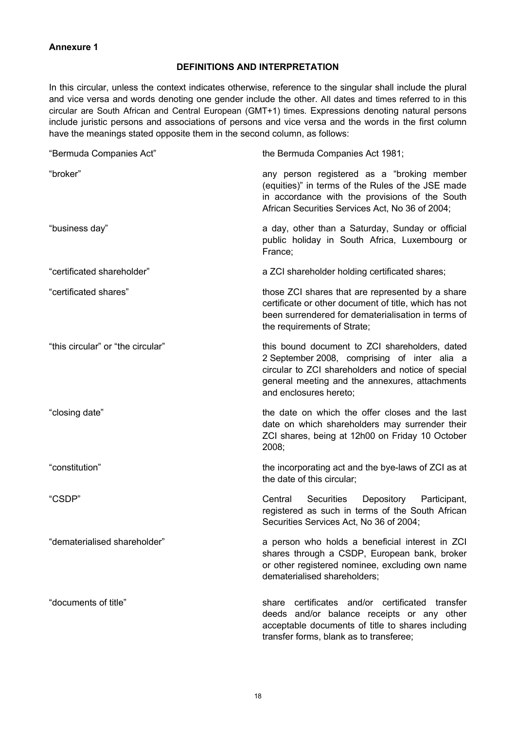#### **Annexure 1**

### **DEFINITIONS AND INTERPRETATION**

In this circular, unless the context indicates otherwise, reference to the singular shall include the plural and vice versa and words denoting one gender include the other. All dates and times referred to in this circular are South African and Central European (GMT+1) times. Expressions denoting natural persons include juristic persons and associations of persons and vice versa and the words in the first column have the meanings stated opposite them in the second column, as follows:

| "Bermuda Companies Act"           | the Bermuda Companies Act 1981;                                                                                                                                                                                                  |
|-----------------------------------|----------------------------------------------------------------------------------------------------------------------------------------------------------------------------------------------------------------------------------|
| "broker"                          | any person registered as a "broking member<br>(equities)" in terms of the Rules of the JSE made<br>in accordance with the provisions of the South<br>African Securities Services Act, No 36 of 2004;                             |
| "business day"                    | a day, other than a Saturday, Sunday or official<br>public holiday in South Africa, Luxembourg or<br>France:                                                                                                                     |
| "certificated shareholder"        | a ZCI shareholder holding certificated shares;                                                                                                                                                                                   |
| "certificated shares"             | those ZCI shares that are represented by a share<br>certificate or other document of title, which has not<br>been surrendered for dematerialisation in terms of<br>the requirements of Strate;                                   |
| "this circular" or "the circular" | this bound document to ZCI shareholders, dated<br>2 September 2008, comprising of inter alia a<br>circular to ZCI shareholders and notice of special<br>general meeting and the annexures, attachments<br>and enclosures hereto; |
| "closing date"                    | the date on which the offer closes and the last<br>date on which shareholders may surrender their<br>ZCI shares, being at 12h00 on Friday 10 October<br>2008;                                                                    |
| "constitution"                    | the incorporating act and the bye-laws of ZCI as at<br>the date of this circular;                                                                                                                                                |
| "CSDP"                            | Central<br>Securities<br>Depository<br>Participant,<br>registered as such in terms of the South African<br>Securities Services Act, No 36 of 2004;                                                                               |
| "dematerialised shareholder"      | a person who holds a beneficial interest in ZCI<br>shares through a CSDP, European bank, broker<br>or other registered nominee, excluding own name<br>dematerialised shareholders;                                               |
| "documents of title"              | certificates and/or certificated<br>share<br>transfer<br>deeds and/or balance receipts or any other<br>acceptable documents of title to shares including<br>transfer forms, blank as to transferee;                              |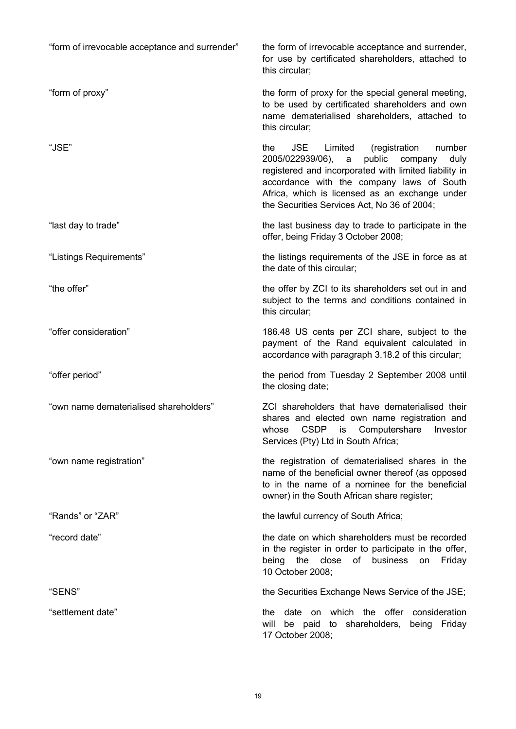| "form of irrevocable acceptance and surrender" | the form of irrevocable acceptance and surrender,<br>for use by certificated shareholders, attached to<br>this circular;                                                                                                                                                                                              |
|------------------------------------------------|-----------------------------------------------------------------------------------------------------------------------------------------------------------------------------------------------------------------------------------------------------------------------------------------------------------------------|
| "form of proxy"                                | the form of proxy for the special general meeting,<br>to be used by certificated shareholders and own<br>name dematerialised shareholders, attached to<br>this circular:                                                                                                                                              |
| "JSE"                                          | <b>JSE</b><br>the<br>Limited<br>number<br>(registration)<br>2005/022939/06),<br>public<br>company<br>duly<br>a<br>registered and incorporated with limited liability in<br>accordance with the company laws of South<br>Africa, which is licensed as an exchange under<br>the Securities Services Act, No 36 of 2004; |
| "last day to trade"                            | the last business day to trade to participate in the<br>offer, being Friday 3 October 2008;                                                                                                                                                                                                                           |
| "Listings Requirements"                        | the listings requirements of the JSE in force as at<br>the date of this circular;                                                                                                                                                                                                                                     |
| "the offer"                                    | the offer by ZCI to its shareholders set out in and<br>subject to the terms and conditions contained in<br>this circular;                                                                                                                                                                                             |
| "offer consideration"                          | 186.48 US cents per ZCI share, subject to the<br>payment of the Rand equivalent calculated in<br>accordance with paragraph 3.18.2 of this circular;                                                                                                                                                                   |
| "offer period"                                 | the period from Tuesday 2 September 2008 until<br>the closing date;                                                                                                                                                                                                                                                   |
| "own name dematerialised shareholders"         | ZCI shareholders that have dematerialised their<br>shares and elected own name registration and<br>CSDP is Computershare<br>Investor<br>whose<br>Services (Pty) Ltd in South Africa;                                                                                                                                  |
| "own name registration"                        | the registration of dematerialised shares in the<br>name of the beneficial owner thereof (as opposed<br>to in the name of a nominee for the beneficial<br>owner) in the South African share register;                                                                                                                 |
| "Rands" or "ZAR"                               | the lawful currency of South Africa;                                                                                                                                                                                                                                                                                  |
| "record date"                                  | the date on which shareholders must be recorded<br>in the register in order to participate in the offer,<br>being the close of business<br>Friday<br>on<br>10 October 2008;                                                                                                                                           |
| "SENS"                                         | the Securities Exchange News Service of the JSE;                                                                                                                                                                                                                                                                      |
| "settlement date"                              | date on which the offer consideration<br>the<br>will be paid to shareholders, being Friday<br>17 October 2008;                                                                                                                                                                                                        |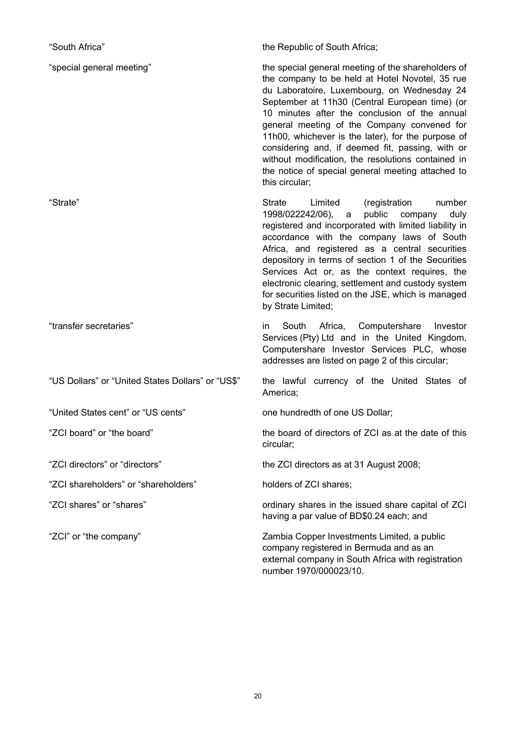| "South Africa"                                    | the Republic of South Africa;                                                                                                                                                                                                                                                                                                                                                                                                                                                                                                                 |
|---------------------------------------------------|-----------------------------------------------------------------------------------------------------------------------------------------------------------------------------------------------------------------------------------------------------------------------------------------------------------------------------------------------------------------------------------------------------------------------------------------------------------------------------------------------------------------------------------------------|
| "special general meeting"                         | the special general meeting of the shareholders of<br>the company to be held at Hotel Novotel, 35 rue<br>du Laboratoire, Luxembourg, on Wednesday 24<br>September at 11h30 (Central European time) (or<br>10 minutes after the conclusion of the annual<br>general meeting of the Company convened for<br>11h00, whichever is the later), for the purpose of<br>considering and, if deemed fit, passing, with or<br>without modification, the resolutions contained in<br>the notice of special general meeting attached to<br>this circular; |
| "Strate"                                          | <b>Strate</b><br>Limited<br>(registration<br>number<br>public<br>1998/022242/06),<br>company<br>duly<br>a<br>registered and incorporated with limited liability in<br>accordance with the company laws of South<br>Africa, and registered as a central securities<br>depository in terms of section 1 of the Securities<br>Services Act or, as the context requires, the<br>electronic clearing, settlement and custody system<br>for securities listed on the JSE, which is managed<br>by Strate Limited;                                    |
| "transfer secretaries"                            | South Africa, Computershare<br>Investor<br>in<br>Services (Pty) Ltd and in the United Kingdom,<br>Computershare Investor Services PLC, whose<br>addresses are listed on page 2 of this circular;                                                                                                                                                                                                                                                                                                                                              |
| "US Dollars" or "United States Dollars" or "US\$" | the lawful currency of the United States of<br>America;                                                                                                                                                                                                                                                                                                                                                                                                                                                                                       |
| "United States cent" or "US cents"                | one hundredth of one US Dollar;                                                                                                                                                                                                                                                                                                                                                                                                                                                                                                               |
| 'ZCI board" or "the board"                        | the board of directors of ZCI as at the date of this<br>circular;                                                                                                                                                                                                                                                                                                                                                                                                                                                                             |
| "ZCI directors" or "directors"                    | the ZCI directors as at 31 August 2008;                                                                                                                                                                                                                                                                                                                                                                                                                                                                                                       |
| "ZCI shareholders" or "shareholders"              | holders of ZCI shares;                                                                                                                                                                                                                                                                                                                                                                                                                                                                                                                        |
| "ZCI shares" or "shares"                          | ordinary shares in the issued share capital of ZCI<br>having a par value of BD\$0.24 each; and                                                                                                                                                                                                                                                                                                                                                                                                                                                |
| "ZCI" or "the company"                            | Zambia Copper Investments Limited, a public<br>company registered in Bermuda and as an<br>external company in South Africa with registration<br>number 1970/000023/10.                                                                                                                                                                                                                                                                                                                                                                        |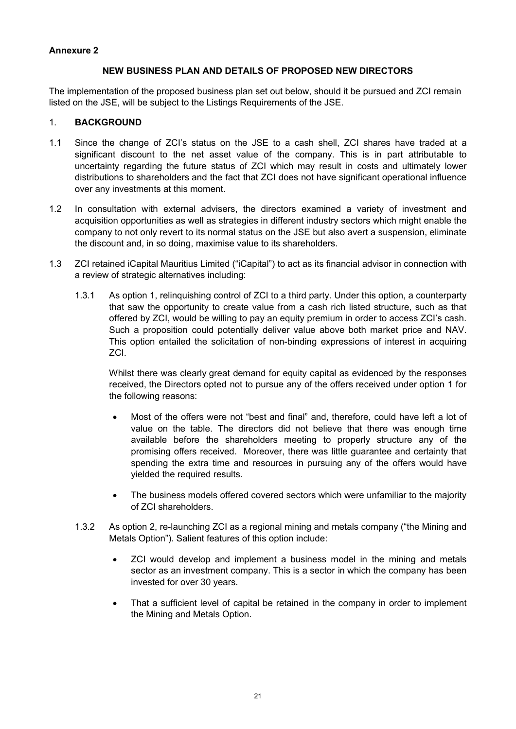#### **Annexure 2**

#### **NEW BUSINESS PLAN AND DETAILS OF PROPOSED NEW DIRECTORS**

The implementation of the proposed business plan set out below, should it be pursued and ZCI remain listed on the JSE, will be subject to the Listings Requirements of the JSE.

#### 1. **BACKGROUND**

- 1.1 Since the change of ZCI's status on the JSE to a cash shell, ZCI shares have traded at a significant discount to the net asset value of the company. This is in part attributable to uncertainty regarding the future status of ZCI which may result in costs and ultimately lower distributions to shareholders and the fact that ZCI does not have significant operational influence over any investments at this moment.
- 1.2 In consultation with external advisers, the directors examined a variety of investment and acquisition opportunities as well as strategies in different industry sectors which might enable the company to not only revert to its normal status on the JSE but also avert a suspension, eliminate the discount and, in so doing, maximise value to its shareholders.
- 1.3 ZCI retained iCapital Mauritius Limited ("iCapital") to act as its financial advisor in connection with a review of strategic alternatives including:
	- 1.3.1 As option 1, relinquishing control of ZCI to a third party. Under this option, a counterparty that saw the opportunity to create value from a cash rich listed structure, such as that offered by ZCI, would be willing to pay an equity premium in order to access ZCI's cash. Such a proposition could potentially deliver value above both market price and NAV. This option entailed the solicitation of non-binding expressions of interest in acquiring ZCI.

Whilst there was clearly great demand for equity capital as evidenced by the responses received, the Directors opted not to pursue any of the offers received under option 1 for the following reasons:

- Most of the offers were not "best and final" and, therefore, could have left a lot of value on the table. The directors did not believe that there was enough time available before the shareholders meeting to properly structure any of the promising offers received. Moreover, there was little guarantee and certainty that spending the extra time and resources in pursuing any of the offers would have yielded the required results.
- The business models offered covered sectors which were unfamiliar to the majority of ZCI shareholders.
- 1.3.2 As option 2, re-launching ZCI as a regional mining and metals company ("the Mining and Metals Option"). Salient features of this option include:
	- ZCI would develop and implement a business model in the mining and metals sector as an investment company. This is a sector in which the company has been invested for over 30 years.
	- That a sufficient level of capital be retained in the company in order to implement the Mining and Metals Option.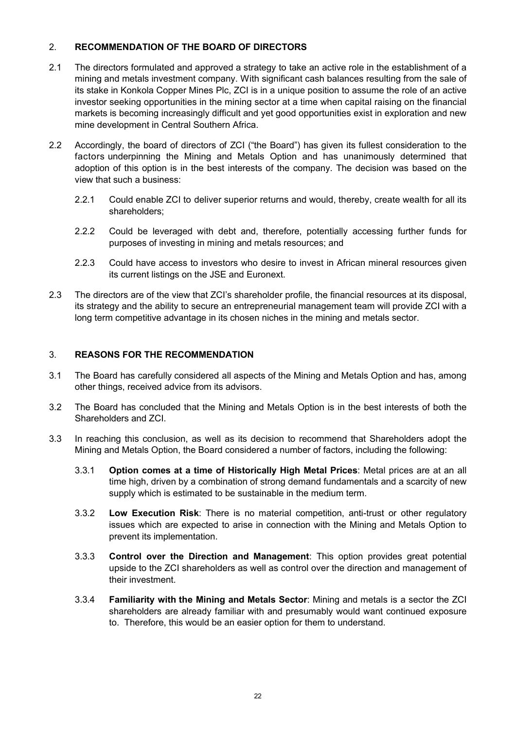## 2. **RECOMMENDATION OF THE BOARD OF DIRECTORS**

- 2.1 The directors formulated and approved a strategy to take an active role in the establishment of a mining and metals investment company. With significant cash balances resulting from the sale of its stake in Konkola Copper Mines Plc, ZCI is in a unique position to assume the role of an active investor seeking opportunities in the mining sector at a time when capital raising on the financial markets is becoming increasingly difficult and yet good opportunities exist in exploration and new mine development in Central Southern Africa.
- 2.2 Accordingly, the board of directors of ZCI ("the Board") has given its fullest consideration to the factors underpinning the Mining and Metals Option and has unanimously determined that adoption of this option is in the best interests of the company. The decision was based on the view that such a business:
	- 2.2.1 Could enable ZCI to deliver superior returns and would, thereby, create wealth for all its shareholders;
	- 2.2.2 Could be leveraged with debt and, therefore, potentially accessing further funds for purposes of investing in mining and metals resources; and
	- 2.2.3 Could have access to investors who desire to invest in African mineral resources given its current listings on the JSE and Euronext.
- 2.3 The directors are of the view that ZCI's shareholder profile, the financial resources at its disposal, its strategy and the ability to secure an entrepreneurial management team will provide ZCI with a long term competitive advantage in its chosen niches in the mining and metals sector.

#### 3. **REASONS FOR THE RECOMMENDATION**

- 3.1 The Board has carefully considered all aspects of the Mining and Metals Option and has, among other things, received advice from its advisors.
- 3.2 The Board has concluded that the Mining and Metals Option is in the best interests of both the Shareholders and ZCI.
- 3.3 In reaching this conclusion, as well as its decision to recommend that Shareholders adopt the Mining and Metals Option, the Board considered a number of factors, including the following:
	- 3.3.1 **Option comes at a time of Historically High Metal Prices**: Metal prices are at an all time high, driven by a combination of strong demand fundamentals and a scarcity of new supply which is estimated to be sustainable in the medium term.
	- 3.3.2 **Low Execution Risk**: There is no material competition, anti-trust or other regulatory issues which are expected to arise in connection with the Mining and Metals Option to prevent its implementation.
	- 3.3.3 **Control over the Direction and Management**: This option provides great potential upside to the ZCI shareholders as well as control over the direction and management of their investment.
	- 3.3.4 **Familiarity with the Mining and Metals Sector**: Mining and metals is a sector the ZCI shareholders are already familiar with and presumably would want continued exposure to. Therefore, this would be an easier option for them to understand.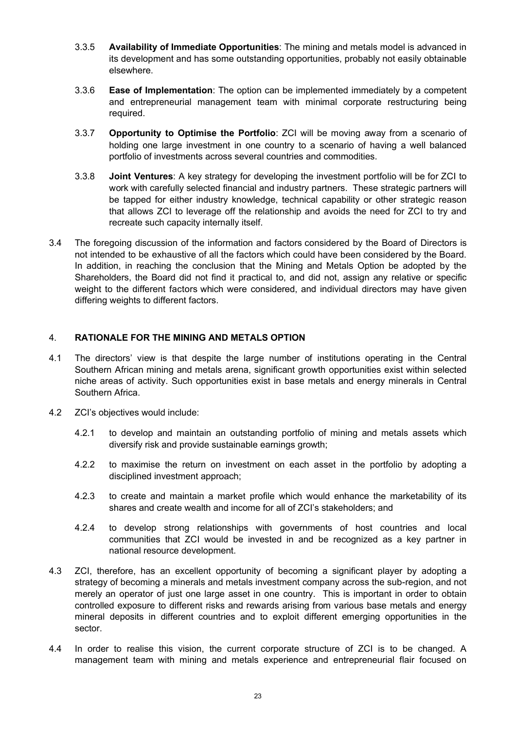- 3.3.5 **Availability of Immediate Opportunities**: The mining and metals model is advanced in its development and has some outstanding opportunities, probably not easily obtainable elsewhere.
- 3.3.6 **Ease of Implementation**: The option can be implemented immediately by a competent and entrepreneurial management team with minimal corporate restructuring being required.
- 3.3.7 **Opportunity to Optimise the Portfolio**: ZCI will be moving away from a scenario of holding one large investment in one country to a scenario of having a well balanced portfolio of investments across several countries and commodities.
- 3.3.8 **Joint Ventures**: A key strategy for developing the investment portfolio will be for ZCI to work with carefully selected financial and industry partners. These strategic partners will be tapped for either industry knowledge, technical capability or other strategic reason that allows ZCI to leverage off the relationship and avoids the need for ZCI to try and recreate such capacity internally itself.
- 3.4 The foregoing discussion of the information and factors considered by the Board of Directors is not intended to be exhaustive of all the factors which could have been considered by the Board. In addition, in reaching the conclusion that the Mining and Metals Option be adopted by the Shareholders, the Board did not find it practical to, and did not, assign any relative or specific weight to the different factors which were considered, and individual directors may have given differing weights to different factors.

## 4. **RATIONALE FOR THE MINING AND METALS OPTION**

- 4.1 The directors' view is that despite the large number of institutions operating in the Central Southern African mining and metals arena, significant growth opportunities exist within selected niche areas of activity. Such opportunities exist in base metals and energy minerals in Central Southern Africa.
- 4.2 ZCI's objectives would include:
	- 4.2.1 to develop and maintain an outstanding portfolio of mining and metals assets which diversify risk and provide sustainable earnings growth;
	- 4.2.2 to maximise the return on investment on each asset in the portfolio by adopting a disciplined investment approach;
	- 4.2.3 to create and maintain a market profile which would enhance the marketability of its shares and create wealth and income for all of ZCI's stakeholders; and
	- 4.2.4 to develop strong relationships with governments of host countries and local communities that ZCI would be invested in and be recognized as a key partner in national resource development.
- 4.3 ZCI, therefore, has an excellent opportunity of becoming a significant player by adopting a strategy of becoming a minerals and metals investment company across the sub-region, and not merely an operator of just one large asset in one country. This is important in order to obtain controlled exposure to different risks and rewards arising from various base metals and energy mineral deposits in different countries and to exploit different emerging opportunities in the sector.
- 4.4 In order to realise this vision, the current corporate structure of ZCI is to be changed. A management team with mining and metals experience and entrepreneurial flair focused on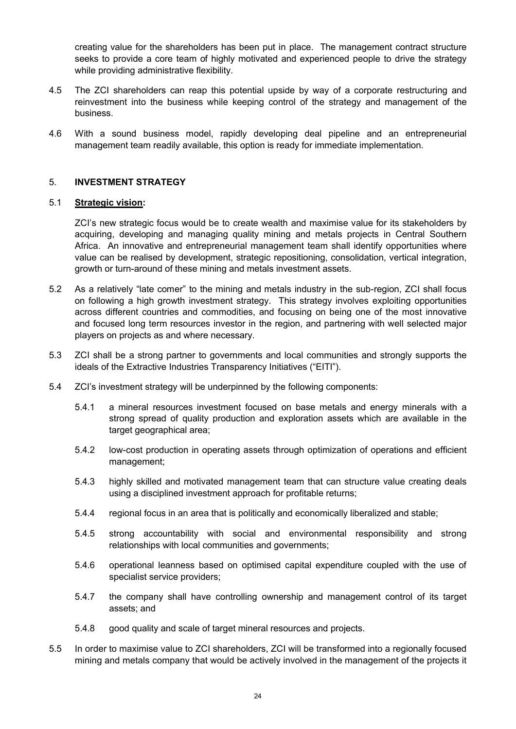creating value for the shareholders has been put in place. The management contract structure seeks to provide a core team of highly motivated and experienced people to drive the strategy while providing administrative flexibility.

- 4.5 The ZCI shareholders can reap this potential upside by way of a corporate restructuring and reinvestment into the business while keeping control of the strategy and management of the business.
- 4.6 With a sound business model, rapidly developing deal pipeline and an entrepreneurial management team readily available, this option is ready for immediate implementation.

#### 5. **INVESTMENT STRATEGY**

#### 5.1 **Strategic vision:**

ZCI's new strategic focus would be to create wealth and maximise value for its stakeholders by acquiring, developing and managing quality mining and metals projects in Central Southern Africa. An innovative and entrepreneurial management team shall identify opportunities where value can be realised by development, strategic repositioning, consolidation, vertical integration, growth or turn-around of these mining and metals investment assets.

- 5.2 As a relatively "late comer" to the mining and metals industry in the sub-region, ZCI shall focus on following a high growth investment strategy. This strategy involves exploiting opportunities across different countries and commodities, and focusing on being one of the most innovative and focused long term resources investor in the region, and partnering with well selected major players on projects as and where necessary.
- 5.3 ZCI shall be a strong partner to governments and local communities and strongly supports the ideals of the Extractive Industries Transparency Initiatives ("EITI").
- 5.4 ZCI's investment strategy will be underpinned by the following components:
	- 5.4.1 a mineral resources investment focused on base metals and energy minerals with a strong spread of quality production and exploration assets which are available in the target geographical area;
	- 5.4.2 low-cost production in operating assets through optimization of operations and efficient management;
	- 5.4.3 highly skilled and motivated management team that can structure value creating deals using a disciplined investment approach for profitable returns;
	- 5.4.4 regional focus in an area that is politically and economically liberalized and stable;
	- 5.4.5 strong accountability with social and environmental responsibility and strong relationships with local communities and governments;
	- 5.4.6 operational leanness based on optimised capital expenditure coupled with the use of specialist service providers;
	- 5.4.7 the company shall have controlling ownership and management control of its target assets; and
	- 5.4.8 good quality and scale of target mineral resources and projects.
- 5.5 In order to maximise value to ZCI shareholders, ZCI will be transformed into a regionally focused mining and metals company that would be actively involved in the management of the projects it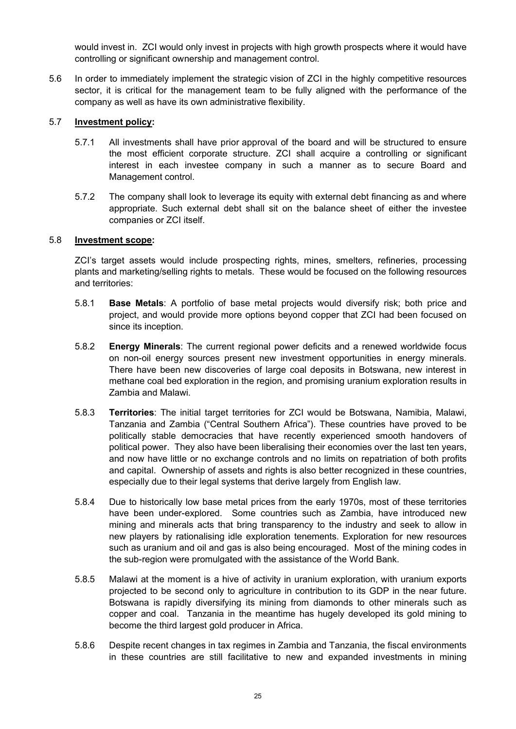would invest in. ZCI would only invest in projects with high growth prospects where it would have controlling or significant ownership and management control.

5.6 In order to immediately implement the strategic vision of ZCI in the highly competitive resources sector, it is critical for the management team to be fully aligned with the performance of the company as well as have its own administrative flexibility.

#### 5.7 **Investment policy:**

- 5.7.1 All investments shall have prior approval of the board and will be structured to ensure the most efficient corporate structure. ZCI shall acquire a controlling or significant interest in each investee company in such a manner as to secure Board and Management control.
- 5.7.2 The company shall look to leverage its equity with external debt financing as and where appropriate. Such external debt shall sit on the balance sheet of either the investee companies or ZCI itself.

#### 5.8 **Investment scope:**

ZCI's target assets would include prospecting rights, mines, smelters, refineries, processing plants and marketing/selling rights to metals. These would be focused on the following resources and territories:

- 5.8.1 **Base Metals**: A portfolio of base metal projects would diversify risk; both price and project, and would provide more options beyond copper that ZCI had been focused on since its inception.
- 5.8.2 **Energy Minerals**: The current regional power deficits and a renewed worldwide focus on non-oil energy sources present new investment opportunities in energy minerals. There have been new discoveries of large coal deposits in Botswana, new interest in methane coal bed exploration in the region, and promising uranium exploration results in Zambia and Malawi.
- 5.8.3 **Territories**: The initial target territories for ZCI would be Botswana, Namibia, Malawi, Tanzania and Zambia ("Central Southern Africa"). These countries have proved to be politically stable democracies that have recently experienced smooth handovers of political power. They also have been liberalising their economies over the last ten years, and now have little or no exchange controls and no limits on repatriation of both profits and capital. Ownership of assets and rights is also better recognized in these countries, especially due to their legal systems that derive largely from English law.
- 5.8.4 Due to historically low base metal prices from the early 1970s, most of these territories have been under-explored. Some countries such as Zambia, have introduced new mining and minerals acts that bring transparency to the industry and seek to allow in new players by rationalising idle exploration tenements. Exploration for new resources such as uranium and oil and gas is also being encouraged. Most of the mining codes in the sub-region were promulgated with the assistance of the World Bank.
- 5.8.5 Malawi at the moment is a hive of activity in uranium exploration, with uranium exports projected to be second only to agriculture in contribution to its GDP in the near future. Botswana is rapidly diversifying its mining from diamonds to other minerals such as copper and coal. Tanzania in the meantime has hugely developed its gold mining to become the third largest gold producer in Africa.
- 5.8.6 Despite recent changes in tax regimes in Zambia and Tanzania, the fiscal environments in these countries are still facilitative to new and expanded investments in mining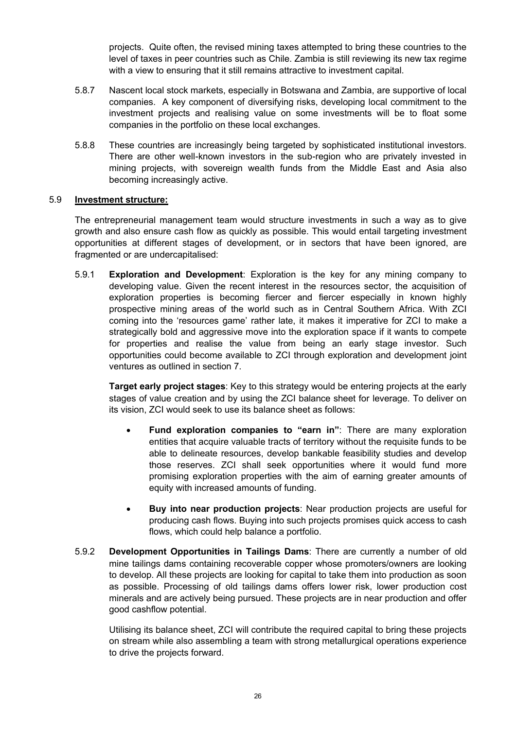projects. Quite often, the revised mining taxes attempted to bring these countries to the level of taxes in peer countries such as Chile. Zambia is still reviewing its new tax regime with a view to ensuring that it still remains attractive to investment capital.

- 5.8.7 Nascent local stock markets, especially in Botswana and Zambia, are supportive of local companies. A key component of diversifying risks, developing local commitment to the investment projects and realising value on some investments will be to float some companies in the portfolio on these local exchanges.
- 5.8.8 These countries are increasingly being targeted by sophisticated institutional investors. There are other well-known investors in the sub-region who are privately invested in mining projects, with sovereign wealth funds from the Middle East and Asia also becoming increasingly active.

#### 5.9 **Investment structure:**

The entrepreneurial management team would structure investments in such a way as to give growth and also ensure cash flow as quickly as possible. This would entail targeting investment opportunities at different stages of development, or in sectors that have been ignored, are fragmented or are undercapitalised:

5.9.1 **Exploration and Development**: Exploration is the key for any mining company to developing value. Given the recent interest in the resources sector, the acquisition of exploration properties is becoming fiercer and fiercer especially in known highly prospective mining areas of the world such as in Central Southern Africa. With ZCI coming into the 'resources game' rather late, it makes it imperative for ZCI to make a strategically bold and aggressive move into the exploration space if it wants to compete for properties and realise the value from being an early stage investor. Such opportunities could become available to ZCI through exploration and development joint ventures as outlined in section 7.

**Target early project stages**: Key to this strategy would be entering projects at the early stages of value creation and by using the ZCI balance sheet for leverage. To deliver on its vision, ZCI would seek to use its balance sheet as follows:

- **Fund exploration companies to "earn in"**: There are many exploration entities that acquire valuable tracts of territory without the requisite funds to be able to delineate resources, develop bankable feasibility studies and develop those reserves. ZCI shall seek opportunities where it would fund more promising exploration properties with the aim of earning greater amounts of equity with increased amounts of funding.
- **Buy into near production projects**: Near production projects are useful for producing cash flows. Buying into such projects promises quick access to cash flows, which could help balance a portfolio.
- 5.9.2 **Development Opportunities in Tailings Dams**: There are currently a number of old mine tailings dams containing recoverable copper whose promoters/owners are looking to develop. All these projects are looking for capital to take them into production as soon as possible. Processing of old tailings dams offers lower risk, lower production cost minerals and are actively being pursued. These projects are in near production and offer good cashflow potential.

Utilising its balance sheet, ZCI will contribute the required capital to bring these projects on stream while also assembling a team with strong metallurgical operations experience to drive the projects forward.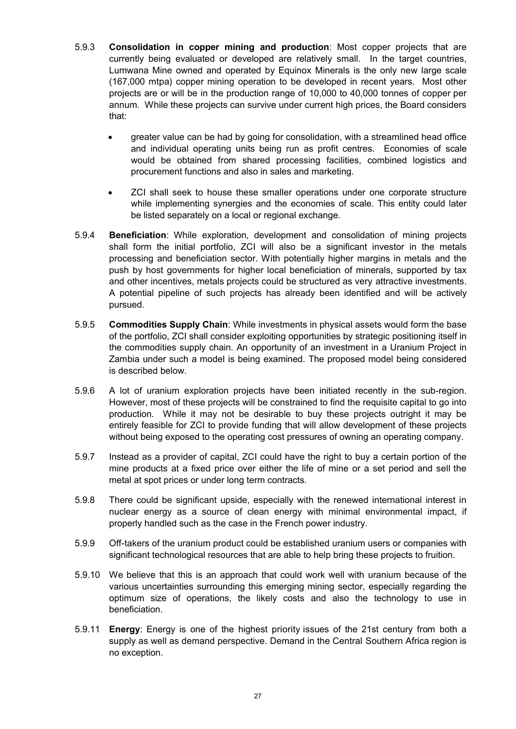- 5.9.3 **Consolidation in copper mining and production**: Most copper projects that are currently being evaluated or developed are relatively small. In the target countries, Lumwana Mine owned and operated by Equinox Minerals is the only new large scale (167,000 mtpa) copper mining operation to be developed in recent years. Most other projects are or will be in the production range of 10,000 to 40,000 tonnes of copper per annum. While these projects can survive under current high prices, the Board considers that:
	- greater value can be had by going for consolidation, with a streamlined head office and individual operating units being run as profit centres. Economies of scale would be obtained from shared processing facilities, combined logistics and procurement functions and also in sales and marketing.
	- ZCI shall seek to house these smaller operations under one corporate structure while implementing synergies and the economies of scale. This entity could later be listed separately on a local or regional exchange.
- 5.9.4 **Beneficiation**: While exploration, development and consolidation of mining projects shall form the initial portfolio, ZCI will also be a significant investor in the metals processing and beneficiation sector. With potentially higher margins in metals and the push by host governments for higher local beneficiation of minerals, supported by tax and other incentives, metals projects could be structured as very attractive investments. A potential pipeline of such projects has already been identified and will be actively pursued.
- 5.9.5 **Commodities Supply Chain**: While investments in physical assets would form the base of the portfolio, ZCI shall consider exploiting opportunities by strategic positioning itself in the commodities supply chain. An opportunity of an investment in a Uranium Project in Zambia under such a model is being examined. The proposed model being considered is described below.
- 5.9.6 A lot of uranium exploration projects have been initiated recently in the sub-region. However, most of these projects will be constrained to find the requisite capital to go into production. While it may not be desirable to buy these projects outright it may be entirely feasible for ZCI to provide funding that will allow development of these projects without being exposed to the operating cost pressures of owning an operating company.
- 5.9.7 Instead as a provider of capital, ZCI could have the right to buy a certain portion of the mine products at a fixed price over either the life of mine or a set period and sell the metal at spot prices or under long term contracts.
- 5.9.8 There could be significant upside, especially with the renewed international interest in nuclear energy as a source of clean energy with minimal environmental impact, if properly handled such as the case in the French power industry.
- 5.9.9 Off-takers of the uranium product could be established uranium users or companies with significant technological resources that are able to help bring these projects to fruition.
- 5.9.10 We believe that this is an approach that could work well with uranium because of the various uncertainties surrounding this emerging mining sector, especially regarding the optimum size of operations, the likely costs and also the technology to use in beneficiation.
- 5.9.11 **Energy**: Energy is one of the highest priority issues of the 21st century from both a supply as well as demand perspective. Demand in the Central Southern Africa region is no exception.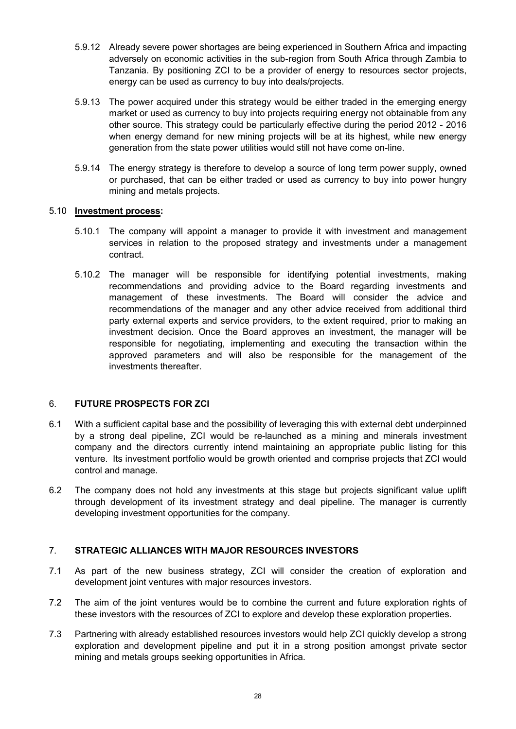- 5.9.12 Already severe power shortages are being experienced in Southern Africa and impacting adversely on economic activities in the sub-region from South Africa through Zambia to Tanzania. By positioning ZCI to be a provider of energy to resources sector projects, energy can be used as currency to buy into deals/projects.
- 5.9.13 The power acquired under this strategy would be either traded in the emerging energy market or used as currency to buy into projects requiring energy not obtainable from any other source. This strategy could be particularly effective during the period 2012 - 2016 when energy demand for new mining projects will be at its highest, while new energy generation from the state power utilities would still not have come on-line.
- 5.9.14 The energy strategy is therefore to develop a source of long term power supply, owned or purchased, that can be either traded or used as currency to buy into power hungry mining and metals projects.

### 5.10 **Investment process:**

- 5.10.1 The company will appoint a manager to provide it with investment and management services in relation to the proposed strategy and investments under a management contract.
- 5.10.2 The manager will be responsible for identifying potential investments, making recommendations and providing advice to the Board regarding investments and management of these investments. The Board will consider the advice and recommendations of the manager and any other advice received from additional third party external experts and service providers, to the extent required, prior to making an investment decision. Once the Board approves an investment, the manager will be responsible for negotiating, implementing and executing the transaction within the approved parameters and will also be responsible for the management of the investments thereafter.

## 6. **FUTURE PROSPECTS FOR ZCI**

- 6.1 With a sufficient capital base and the possibility of leveraging this with external debt underpinned by a strong deal pipeline, ZCI would be re-launched as a mining and minerals investment company and the directors currently intend maintaining an appropriate public listing for this venture. Its investment portfolio would be growth oriented and comprise projects that ZCI would control and manage.
- 6.2 The company does not hold any investments at this stage but projects significant value uplift through development of its investment strategy and deal pipeline. The manager is currently developing investment opportunities for the company.

## 7. **STRATEGIC ALLIANCES WITH MAJOR RESOURCES INVESTORS**

- 7.1 As part of the new business strategy, ZCI will consider the creation of exploration and development joint ventures with major resources investors.
- 7.2 The aim of the joint ventures would be to combine the current and future exploration rights of these investors with the resources of ZCI to explore and develop these exploration properties.
- 7.3 Partnering with already established resources investors would help ZCI quickly develop a strong exploration and development pipeline and put it in a strong position amongst private sector mining and metals groups seeking opportunities in Africa.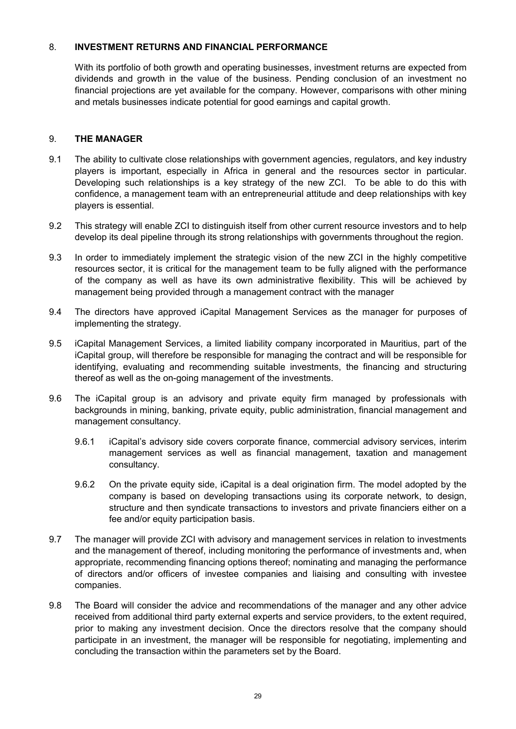#### 8. **INVESTMENT RETURNS AND FINANCIAL PERFORMANCE**

With its portfolio of both growth and operating businesses, investment returns are expected from dividends and growth in the value of the business. Pending conclusion of an investment no financial projections are yet available for the company. However, comparisons with other mining and metals businesses indicate potential for good earnings and capital growth.

## 9. **THE MANAGER**

- 9.1 The ability to cultivate close relationships with government agencies, regulators, and key industry players is important, especially in Africa in general and the resources sector in particular. Developing such relationships is a key strategy of the new ZCI. To be able to do this with confidence, a management team with an entrepreneurial attitude and deep relationships with key players is essential.
- 9.2 This strategy will enable ZCI to distinguish itself from other current resource investors and to help develop its deal pipeline through its strong relationships with governments throughout the region.
- 9.3 In order to immediately implement the strategic vision of the new ZCI in the highly competitive resources sector, it is critical for the management team to be fully aligned with the performance of the company as well as have its own administrative flexibility. This will be achieved by management being provided through a management contract with the manager
- 9.4 The directors have approved iCapital Management Services as the manager for purposes of implementing the strategy.
- 9.5 iCapital Management Services, a limited liability company incorporated in Mauritius, part of the iCapital group, will therefore be responsible for managing the contract and will be responsible for identifying, evaluating and recommending suitable investments, the financing and structuring thereof as well as the on-going management of the investments.
- 9.6 The iCapital group is an advisory and private equity firm managed by professionals with backgrounds in mining, banking, private equity, public administration, financial management and management consultancy.
	- 9.6.1 iCapital's advisory side covers corporate finance, commercial advisory services, interim management services as well as financial management, taxation and management consultancy.
	- 9.6.2 On the private equity side, iCapital is a deal origination firm. The model adopted by the company is based on developing transactions using its corporate network, to design, structure and then syndicate transactions to investors and private financiers either on a fee and/or equity participation basis.
- 9.7 The manager will provide ZCI with advisory and management services in relation to investments and the management of thereof, including monitoring the performance of investments and, when appropriate, recommending financing options thereof; nominating and managing the performance of directors and/or officers of investee companies and liaising and consulting with investee companies.
- 9.8 The Board will consider the advice and recommendations of the manager and any other advice received from additional third party external experts and service providers, to the extent required, prior to making any investment decision. Once the directors resolve that the company should participate in an investment, the manager will be responsible for negotiating, implementing and concluding the transaction within the parameters set by the Board.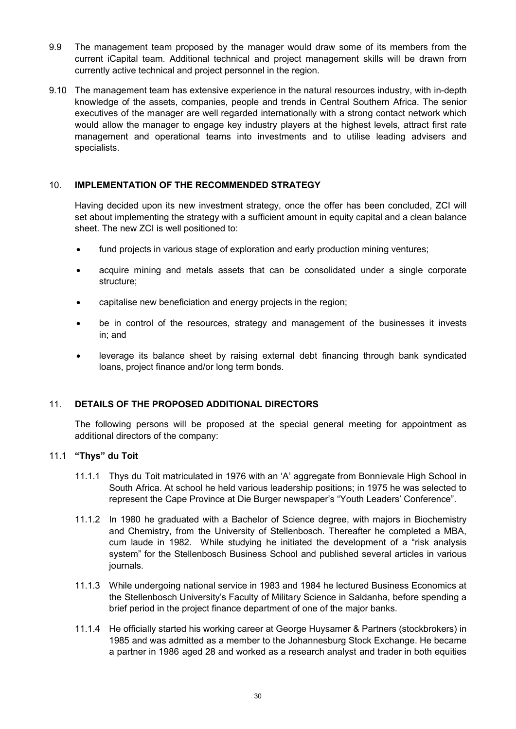- 9.9 The management team proposed by the manager would draw some of its members from the current iCapital team. Additional technical and project management skills will be drawn from currently active technical and project personnel in the region.
- 9.10 The management team has extensive experience in the natural resources industry, with in-depth knowledge of the assets, companies, people and trends in Central Southern Africa. The senior executives of the manager are well regarded internationally with a strong contact network which would allow the manager to engage key industry players at the highest levels, attract first rate management and operational teams into investments and to utilise leading advisers and specialists.

## 10. **IMPLEMENTATION OF THE RECOMMENDED STRATEGY**

Having decided upon its new investment strategy, once the offer has been concluded, ZCI will set about implementing the strategy with a sufficient amount in equity capital and a clean balance sheet. The new ZCI is well positioned to:

- fund projects in various stage of exploration and early production mining ventures;
- acquire mining and metals assets that can be consolidated under a single corporate structure;
- capitalise new beneficiation and energy projects in the region;
- be in control of the resources, strategy and management of the businesses it invests in; and
- leverage its balance sheet by raising external debt financing through bank syndicated loans, project finance and/or long term bonds.

## 11. **DETAILS OF THE PROPOSED ADDITIONAL DIRECTORS**

The following persons will be proposed at the special general meeting for appointment as additional directors of the company:

#### 11.1 **"Thys" du Toit**

- 11.1.1 Thys du Toit matriculated in 1976 with an 'A' aggregate from Bonnievale High School in South Africa. At school he held various leadership positions; in 1975 he was selected to represent the Cape Province at Die Burger newspaper's "Youth Leaders' Conference".
- 11.1.2 In 1980 he graduated with a Bachelor of Science degree, with majors in Biochemistry and Chemistry, from the University of Stellenbosch. Thereafter he completed a MBA, cum laude in 1982. While studying he initiated the development of a "risk analysis system" for the Stellenbosch Business School and published several articles in various journals.
- 11.1.3 While undergoing national service in 1983 and 1984 he lectured Business Economics at the Stellenbosch University's Faculty of Military Science in Saldanha, before spending a brief period in the project finance department of one of the major banks.
- 11.1.4 He officially started his working career at George Huysamer & Partners (stockbrokers) in 1985 and was admitted as a member to the Johannesburg Stock Exchange. He became a partner in 1986 aged 28 and worked as a research analyst and trader in both equities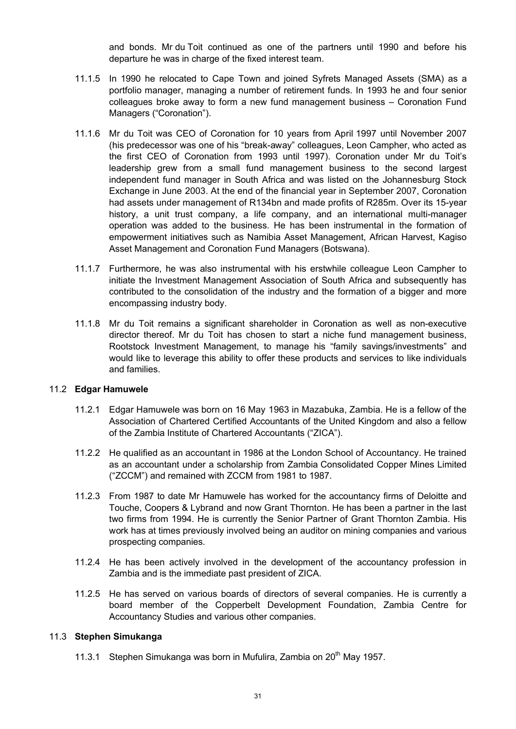and bonds. Mr du Toit continued as one of the partners until 1990 and before his departure he was in charge of the fixed interest team.

- 11.1.5 In 1990 he relocated to Cape Town and joined Syfrets Managed Assets (SMA) as a portfolio manager, managing a number of retirement funds. In 1993 he and four senior colleagues broke away to form a new fund management business – Coronation Fund Managers ("Coronation").
- 11.1.6 Mr du Toit was CEO of Coronation for 10 years from April 1997 until November 2007 (his predecessor was one of his "break-away" colleagues, Leon Campher, who acted as the first CEO of Coronation from 1993 until 1997). Coronation under Mr du Toit's leadership grew from a small fund management business to the second largest independent fund manager in South Africa and was listed on the Johannesburg Stock Exchange in June 2003. At the end of the financial year in September 2007, Coronation had assets under management of R134bn and made profits of R285m. Over its 15-year history, a unit trust company, a life company, and an international multi-manager operation was added to the business. He has been instrumental in the formation of empowerment initiatives such as Namibia Asset Management, African Harvest, Kagiso Asset Management and Coronation Fund Managers (Botswana).
- 11.1.7 Furthermore, he was also instrumental with his erstwhile colleague Leon Campher to initiate the Investment Management Association of South Africa and subsequently has contributed to the consolidation of the industry and the formation of a bigger and more encompassing industry body.
- 11.1.8 Mr du Toit remains a significant shareholder in Coronation as well as non-executive director thereof. Mr du Toit has chosen to start a niche fund management business, Rootstock Investment Management, to manage his "family savings/investments" and would like to leverage this ability to offer these products and services to like individuals and families.

#### 11.2 **Edgar Hamuwele**

- 11.2.1 Edgar Hamuwele was born on 16 May 1963 in Mazabuka, Zambia. He is a fellow of the Association of Chartered Certified Accountants of the United Kingdom and also a fellow of the Zambia Institute of Chartered Accountants ("ZICA").
- 11.2.2 He qualified as an accountant in 1986 at the London School of Accountancy. He trained as an accountant under a scholarship from Zambia Consolidated Copper Mines Limited ("ZCCM") and remained with ZCCM from 1981 to 1987.
- 11.2.3 From 1987 to date Mr Hamuwele has worked for the accountancy firms of Deloitte and Touche, Coopers & Lybrand and now Grant Thornton. He has been a partner in the last two firms from 1994. He is currently the Senior Partner of Grant Thornton Zambia. His work has at times previously involved being an auditor on mining companies and various prospecting companies.
- 11.2.4 He has been actively involved in the development of the accountancy profession in Zambia and is the immediate past president of ZICA.
- 11.2.5 He has served on various boards of directors of several companies. He is currently a board member of the Copperbelt Development Foundation, Zambia Centre for Accountancy Studies and various other companies.

#### 11.3 **Stephen Simukanga**

11.3.1 Stephen Simukanga was born in Mufulira, Zambia on  $20<sup>th</sup>$  May 1957.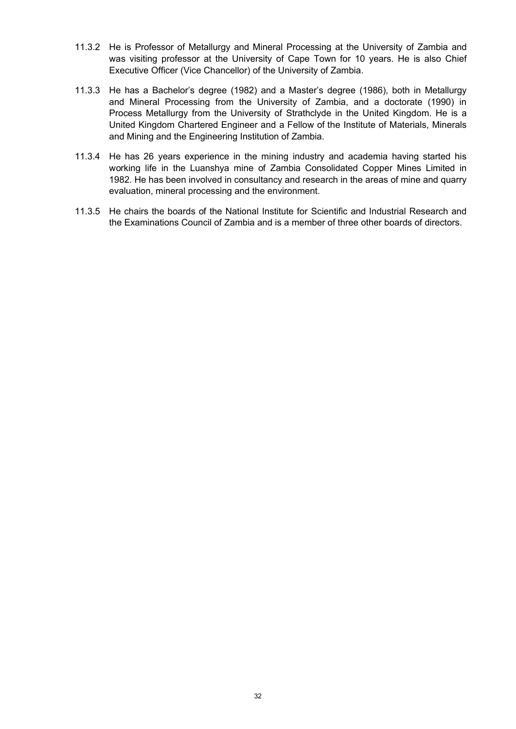- 11.3.2 He is Professor of Metallurgy and Mineral Processing at the University of Zambia and was visiting professor at the University of Cape Town for 10 years. He is also Chief Executive Officer (Vice Chancellor) of the University of Zambia.
- 11.3.3 He has a Bachelor's degree (1982) and a Master's degree (1986), both in Metallurgy and Mineral Processing from the University of Zambia, and a doctorate (1990) in Process Metallurgy from the University of Strathclyde in the United Kingdom. He is a United Kingdom Chartered Engineer and a Fellow of the Institute of Materials, Minerals and Mining and the Engineering Institution of Zambia.
- 11.3.4 He has 26 years experience in the mining industry and academia having started his working life in the Luanshya mine of Zambia Consolidated Copper Mines Limited in 1982. He has been involved in consultancy and research in the areas of mine and quarry evaluation, mineral processing and the environment.
- 11.3.5 He chairs the boards of the National Institute for Scientific and Industrial Research and the Examinations Council of Zambia and is a member of three other boards of directors.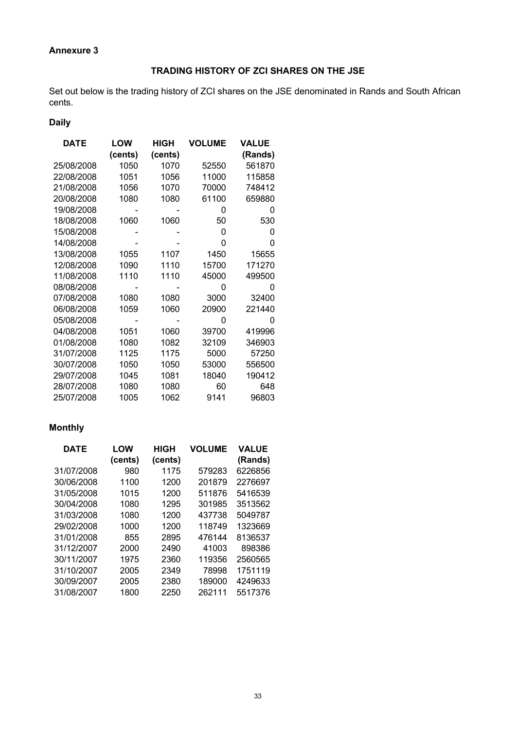# **Annexure 3**

# **TRADING HISTORY OF ZCI SHARES ON THE JSE**

Set out below is the trading history of ZCI shares on the JSE denominated in Rands and South African cents.

# **Daily**

| <b>DATE</b> | LOW     | HIGH    | <b>VOLUME</b> | <b>VALUE</b> |
|-------------|---------|---------|---------------|--------------|
|             | (cents) | (cents) |               | (Rands)      |
| 25/08/2008  | 1050    | 1070    | 52550         | 561870       |
| 22/08/2008  | 1051    | 1056    | 11000         | 115858       |
| 21/08/2008  | 1056    | 1070    | 70000         | 748412       |
| 20/08/2008  | 1080    | 1080    | 61100         | 659880       |
| 19/08/2008  |         |         | 0             | 0            |
| 18/08/2008  | 1060    | 1060    | 50            | 530          |
| 15/08/2008  |         |         | 0             | 0            |
| 14/08/2008  |         |         | 0             | 0            |
| 13/08/2008  | 1055    | 1107    | 1450          | 15655        |
| 12/08/2008  | 1090    | 1110    | 15700         | 171270       |
| 11/08/2008  | 1110    | 1110    | 45000         | 499500       |
| 08/08/2008  |         |         | ი             | ი            |
| 07/08/2008  | 1080    | 1080    | 3000          | 32400        |
| 06/08/2008  | 1059    | 1060    | 20900         | 221440       |
| 05/08/2008  |         |         | 0             | 0            |
| 04/08/2008  | 1051    | 1060    | 39700         | 419996       |
| 01/08/2008  | 1080    | 1082    | 32109         | 346903       |
| 31/07/2008  | 1125    | 1175    | 5000          | 57250        |
| 30/07/2008  | 1050    | 1050    | 53000         | 556500       |
| 29/07/2008  | 1045    | 1081    | 18040         | 190412       |
| 28/07/2008  | 1080    | 1080    | 60            | 648          |
| 25/07/2008  | 1005    | 1062    | 9141          | 96803        |

# **Monthly**

| <b>DATE</b> | LOW     | <b>HIGH</b> | <b>VOLUME</b> | <b>VALUE</b> |
|-------------|---------|-------------|---------------|--------------|
|             | (cents) | (cents)     |               | (Rands)      |
| 31/07/2008  | 980     | 1175        | 579283        | 6226856      |
| 30/06/2008  | 1100    | 1200        | 201879        | 2276697      |
| 31/05/2008  | 1015    | 1200        | 511876        | 5416539      |
| 30/04/2008  | 1080    | 1295        | 301985        | 3513562      |
| 31/03/2008  | 1080    | 1200        | 437738        | 5049787      |
| 29/02/2008  | 1000    | 1200        | 118749        | 1323669      |
| 31/01/2008  | 855     | 2895        | 476144        | 8136537      |
| 31/12/2007  | 2000    | 2490        | 41003         | 898386       |
| 30/11/2007  | 1975    | 2360        | 119356        | 2560565      |
| 31/10/2007  | 2005    | 2349        | 78998         | 1751119      |
| 30/09/2007  | 2005    | 2380        | 189000        | 4249633      |
| 31/08/2007  | 1800    | 2250        | 262111        | 5517376      |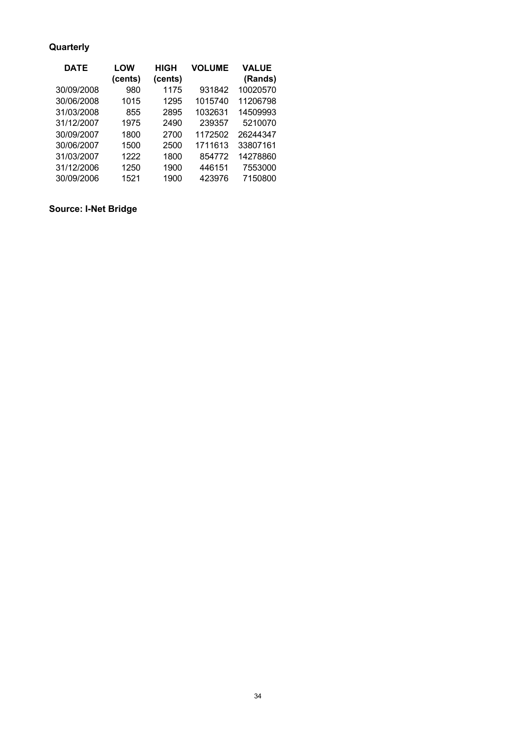# **Quarterly**

| <b>DATE</b> | <b>LOW</b> | HIGH    | <b>VOLUME</b> | <b>VALUE</b> |
|-------------|------------|---------|---------------|--------------|
|             | (cents)    | (cents) |               | (Rands)      |
| 30/09/2008  | 980        | 1175    | 931842        | 10020570     |
| 30/06/2008  | 1015       | 1295    | 1015740       | 11206798     |
| 31/03/2008  | 855        | 2895    | 1032631       | 14509993     |
| 31/12/2007  | 1975       | 2490    | 239357        | 5210070      |
| 30/09/2007  | 1800       | 2700    | 1172502       | 26244347     |
| 30/06/2007  | 1500       | 2500    | 1711613       | 33807161     |
| 31/03/2007  | 1222       | 1800    | 854772        | 14278860     |
| 31/12/2006  | 1250       | 1900    | 446151        | 7553000      |
| 30/09/2006  | 1521       | 1900    | 423976        | 7150800      |

# **Source: I-Net Bridge**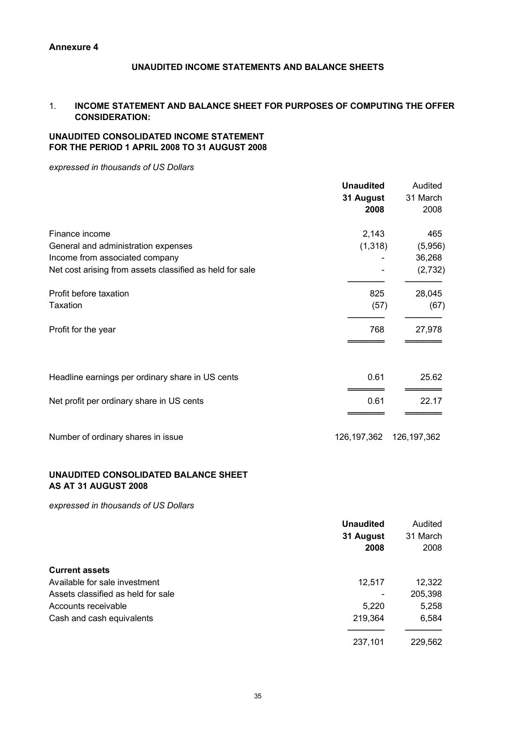## **UNAUDITED INCOME STATEMENTS AND BALANCE SHEETS**

#### 1. **INCOME STATEMENT AND BALANCE SHEET FOR PURPOSES OF COMPUTING THE OFFER CONSIDERATION:**

#### **UNAUDITED CONSOLIDATED INCOME STATEMENT FOR THE PERIOD 1 APRIL 2008 TO 31 AUGUST 2008**

*expressed in thousands of US Dollars*

|                                                                                                                                                     | <b>Unaudited</b><br>31 August<br>2008 | Audited<br>31 March<br>2008         |
|-----------------------------------------------------------------------------------------------------------------------------------------------------|---------------------------------------|-------------------------------------|
| Finance income<br>General and administration expenses<br>Income from associated company<br>Net cost arising from assets classified as held for sale | 2,143<br>(1, 318)                     | 465<br>(5,956)<br>36,268<br>(2,732) |
| Profit before taxation<br><b>Taxation</b><br>Profit for the year                                                                                    | 825<br>(57)<br>768                    | 28,045<br>(67)<br>27,978            |
| Headline earnings per ordinary share in US cents                                                                                                    | 0.61                                  | 25.62                               |
| Net profit per ordinary share in US cents                                                                                                           | 0.61                                  | 22.17                               |
| Number of ordinary shares in issue                                                                                                                  | 126, 197, 362                         | 126, 197, 362                       |

#### **UNAUDITED CONSOLIDATED BALANCE SHEET AS AT 31 AUGUST 2008**

*expressed in thousands of US Dollars*

|                                    | <b>Unaudited</b> | Audited  |
|------------------------------------|------------------|----------|
|                                    | 31 August        | 31 March |
|                                    | 2008             | 2008     |
| <b>Current assets</b>              |                  |          |
| Available for sale investment      | 12,517           | 12,322   |
| Assets classified as held for sale |                  | 205,398  |
| Accounts receivable                | 5,220            | 5,258    |
| Cash and cash equivalents          | 219,364          | 6,584    |
|                                    | 237,101          | 229,562  |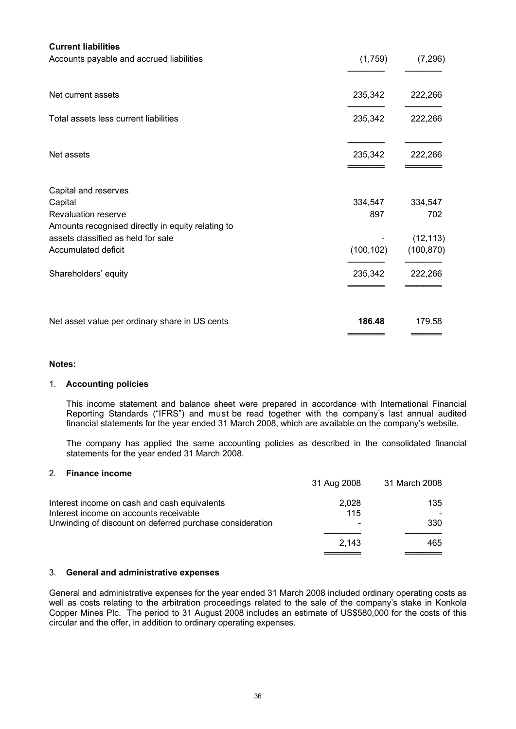| <b>Current liabilities</b><br>Accounts payable and accrued liabilities | (1,759)    | (7, 296)   |
|------------------------------------------------------------------------|------------|------------|
|                                                                        |            |            |
| Net current assets                                                     | 235,342    | 222,266    |
| Total assets less current liabilities                                  | 235,342    | 222,266    |
| Net assets                                                             | 235,342    | 222,266    |
| Capital and reserves                                                   |            |            |
| Capital                                                                | 334,547    | 334,547    |
| <b>Revaluation reserve</b>                                             | 897        | 702        |
| Amounts recognised directly in equity relating to                      |            |            |
| assets classified as held for sale                                     |            | (12, 113)  |
| Accumulated deficit                                                    | (100, 102) | (100, 870) |
| Shareholders' equity                                                   | 235,342    | 222,266    |
| Net asset value per ordinary share in US cents                         | 186.48     | 179.58     |
|                                                                        |            |            |

#### **Notes:**

#### 1. **Accounting policies**

This income statement and balance sheet were prepared in accordance with International Financial Reporting Standards ("IFRS") and must be read together with the company's last annual audited financial statements for the year ended 31 March 2008, which are available on the company's website.

The company has applied the same accounting policies as described in the consolidated financial statements for the year ended 31 March 2008.

#### 2. **Finance income**

|                                                                                                                                                    | 31 Aug 2008                              | 31 March 2008 |
|----------------------------------------------------------------------------------------------------------------------------------------------------|------------------------------------------|---------------|
| Interest income on cash and cash equivalents<br>Interest income on accounts receivable<br>Unwinding of discount on deferred purchase consideration | 2.028<br>115<br>$\overline{\phantom{m}}$ | 135<br>330    |
|                                                                                                                                                    | 2.143                                    | 465           |

#### 3. **General and administrative expenses**

General and administrative expenses for the year ended 31 March 2008 included ordinary operating costs as well as costs relating to the arbitration proceedings related to the sale of the company's stake in Konkola Copper Mines Plc. The period to 31 August 2008 includes an estimate of US\$580,000 for the costs of this circular and the offer, in addition to ordinary operating expenses.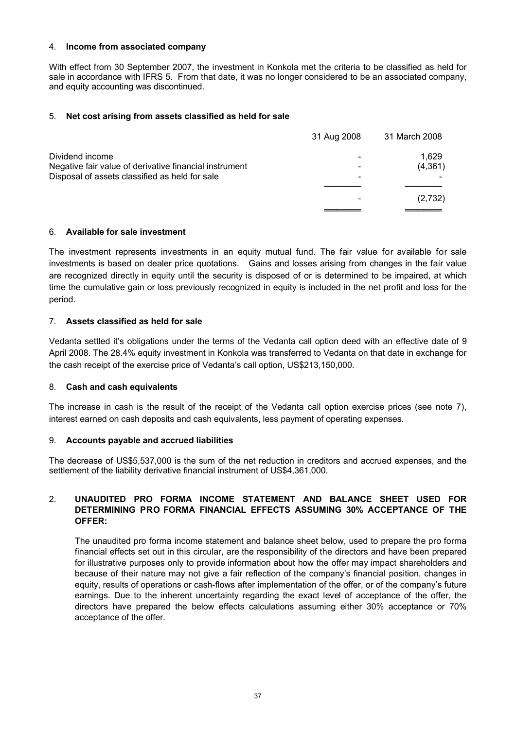#### 4. **Income from associated company**

With effect from 30 September 2007, the investment in Konkola met the criteria to be classified as held for sale in accordance with IFRS 5. From that date, it was no longer considered to be an associated company, and equity accounting was discontinued.

#### 5. **Net cost arising from assets classified as held for sale**

|                                                        | 31 Aug 2008 | 31 March 2008 |
|--------------------------------------------------------|-------------|---------------|
| Dividend income                                        |             | 1.629         |
| Negative fair value of derivative financial instrument |             | (4,361)       |
| Disposal of assets classified as held for sale         | -           |               |
|                                                        |             |               |
|                                                        |             | (2,732)       |
|                                                        |             |               |

#### 6. **Available for sale investment**

The investment represents investments in an equity mutual fund. The fair value for available for sale investments is based on dealer price quotations. Gains and losses arising from changes in the fair value are recognized directly in equity until the security is disposed of or is determined to be impaired, at which time the cumulative gain or loss previously recognized in equity is included in the net profit and loss for the period.

#### 7. **Assets classified as held for sale**

Vedanta settled it's obligations under the terms of the Vedanta call option deed with an effective date of 9 April 2008. The 28.4% equity investment in Konkola was transferred to Vedanta on that date in exchange for the cash receipt of the exercise price of Vedanta's call option, US\$213,150,000.

#### 8. **Cash and cash equivalents**

The increase in cash is the result of the receipt of the Vedanta call option exercise prices (see note 7), interest earned on cash deposits and cash equivalents, less payment of operating expenses.

#### 9. **Accounts payable and accrued liabilities**

The decrease of US\$5,537,000 is the sum of the net reduction in creditors and accrued expenses, and the settlement of the liability derivative financial instrument of US\$4,361,000.

#### 2. **UNAUDITED PRO FORMA INCOME STATEMENT AND BALANCE SHEET USED FOR DETERMINING PRO FORMA FINANCIAL EFFECTS ASSUMING 30% ACCEPTANCE OF THE OFFER:**

The unaudited pro forma income statement and balance sheet below, used to prepare the pro forma financial effects set out in this circular, are the responsibility of the directors and have been prepared for illustrative purposes only to provide information about how the offer may impact shareholders and because of their nature may not give a fair reflection of the company's financial position, changes in equity, results of operations or cash-flows after implementation of the offer, or of the company's future earnings. Due to the inherent uncertainty regarding the exact level of acceptance of the offer, the directors have prepared the below effects calculations assuming either 30% acceptance or 70% acceptance of the offer.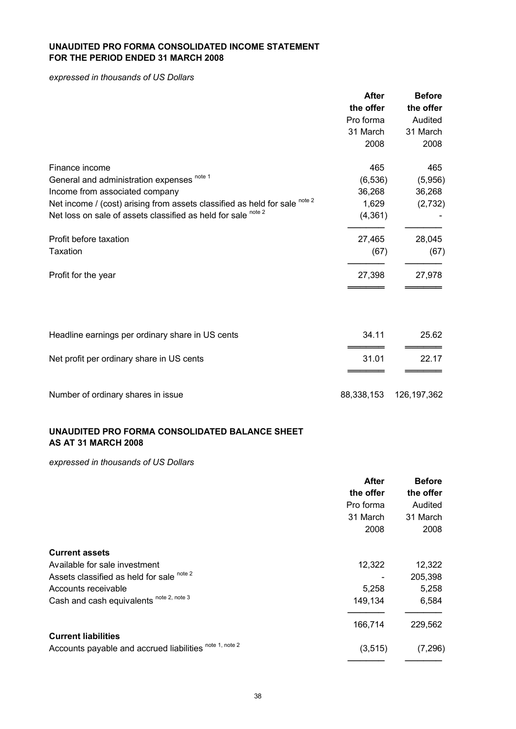#### **UNAUDITED PRO FORMA CONSOLIDATED INCOME STATEMENT FOR THE PERIOD ENDED 31 MARCH 2008**

*expressed in thousands of US Dollars*

|                                                                            | <b>After</b> | <b>Before</b> |
|----------------------------------------------------------------------------|--------------|---------------|
|                                                                            | the offer    | the offer     |
|                                                                            | Pro forma    | Audited       |
|                                                                            | 31 March     | 31 March      |
|                                                                            | 2008         | 2008          |
| Finance income                                                             | 465          | 465           |
| General and administration expenses note 1                                 | (6, 536)     | (5,956)       |
| Income from associated company                                             | 36,268       | 36,268        |
| Net income / (cost) arising from assets classified as held for sale note 2 | 1,629        | (2,732)       |
| Net loss on sale of assets classified as held for sale note 2              | (4, 361)     |               |
| Profit before taxation                                                     | 27,465       | 28,045        |
| <b>Taxation</b>                                                            | (67)         | (67)          |
| Profit for the year                                                        | 27,398       | 27,978        |
|                                                                            |              |               |
| Headline earnings per ordinary share in US cents                           | 34.11        | 25.62         |
| Net profit per ordinary share in US cents                                  | 31.01        | 22.17         |
| Number of ordinary shares in issue                                         | 88,338,153   | 126, 197, 362 |

## **UNAUDITED PRO FORMA CONSOLIDATED BALANCE SHEET AS AT 31 MARCH 2008**

*expressed in thousands of US Dollars*

|                                                         | <b>After</b> | <b>Before</b> |
|---------------------------------------------------------|--------------|---------------|
|                                                         | the offer    | the offer     |
|                                                         | Pro forma    | Audited       |
|                                                         | 31 March     | 31 March      |
|                                                         | 2008         | 2008          |
| <b>Current assets</b>                                   |              |               |
| Available for sale investment                           | 12,322       | 12,322        |
| Assets classified as held for sale note 2               |              | 205,398       |
| Accounts receivable                                     | 5,258        | 5,258         |
| Cash and cash equivalents note 2, note 3                | 149,134      | 6,584         |
|                                                         | 166,714      | 229,562       |
| <b>Current liabilities</b>                              |              |               |
| Accounts payable and accrued liabilities note 1, note 2 | (3, 515)     | (7, 296)      |
|                                                         |              |               |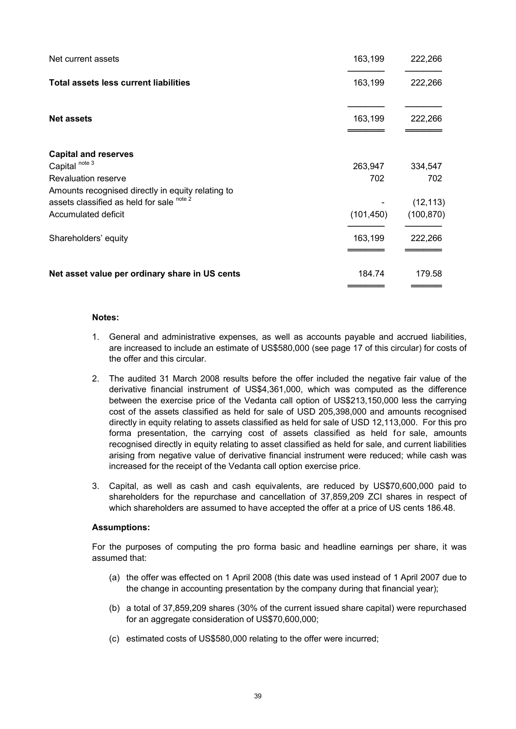| Net current assets                                | 163,199    | 222,266    |
|---------------------------------------------------|------------|------------|
| <b>Total assets less current liabilities</b>      | 163,199    | 222,266    |
| <b>Net assets</b>                                 | 163,199    | 222,266    |
| <b>Capital and reserves</b>                       |            |            |
| Capital <sup>note 3</sup>                         | 263,947    | 334,547    |
| Revaluation reserve                               | 702        | 702        |
| Amounts recognised directly in equity relating to |            |            |
| assets classified as held for sale note 2         |            | (12, 113)  |
| Accumulated deficit                               | (101, 450) | (100, 870) |
| Shareholders' equity                              | 163,199    | 222,266    |
| Net asset value per ordinary share in US cents    | 184.74     | 179.58     |

#### **Notes:**

1. General and administrative expenses, as well as accounts payable and accrued liabilities, are increased to include an estimate of US\$580,000 (see page 17 of this circular) for costs of the offer and this circular.

═════════<br>══════════

- 2. The audited 31 March 2008 results before the offer included the negative fair value of the derivative financial instrument of US\$4,361,000, which was computed as the difference between the exercise price of the Vedanta call option of US\$213,150,000 less the carrying cost of the assets classified as held for sale of USD 205,398,000 and amounts recognised directly in equity relating to assets classified as held for sale of USD 12,113,000. For this pro forma presentation, the carrying cost of assets classified as held for sale, amounts recognised directly in equity relating to asset classified as held for sale, and current liabilities arising from negative value of derivative financial instrument were reduced; while cash was increased for the receipt of the Vedanta call option exercise price.
- 3. Capital, as well as cash and cash equivalents, are reduced by US\$70,600,000 paid to shareholders for the repurchase and cancellation of 37,859,209 ZCI shares in respect of which shareholders are assumed to have accepted the offer at a price of US cents 186.48.

#### **Assumptions:**

For the purposes of computing the pro forma basic and headline earnings per share, it was assumed that:

- (a) the offer was effected on 1 April 2008 (this date was used instead of 1 April 2007 due to the change in accounting presentation by the company during that financial year);
- (b) a total of 37,859,209 shares (30% of the current issued share capital) were repurchased for an aggregate consideration of US\$70,600,000;
- (c) estimated costs of US\$580,000 relating to the offer were incurred;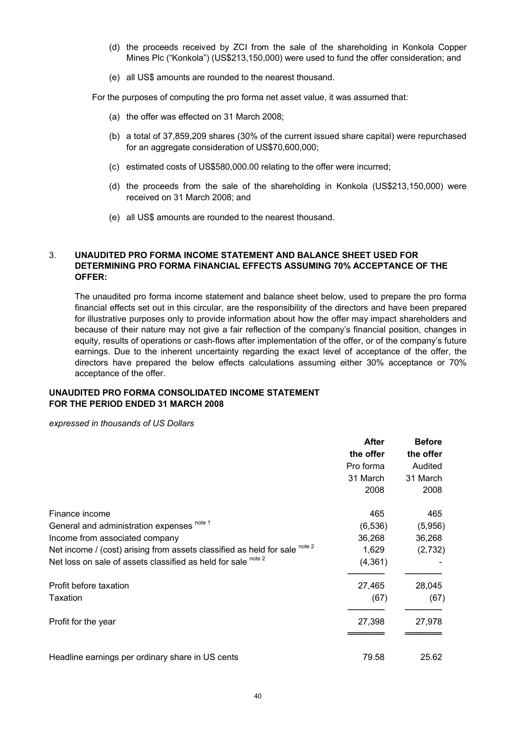- (d) the proceeds received by ZCI from the sale of the shareholding in Konkola Copper Mines Plc ("Konkola") (US\$213,150,000) were used to fund the offer consideration; and
- (e) all US\$ amounts are rounded to the nearest thousand.

For the purposes of computing the pro forma net asset value, it was assumed that:

- (a) the offer was effected on 31 March 2008;
- (b) a total of 37,859,209 shares (30% of the current issued share capital) were repurchased for an aggregate consideration of US\$70,600,000;
- (c) estimated costs of US\$580,000.00 relating to the offer were incurred;
- (d) the proceeds from the sale of the shareholding in Konkola (US\$213,150,000) were received on 31 March 2008; and
- (e) all US\$ amounts are rounded to the nearest thousand.

#### 3. **UNAUDITED PRO FORMA INCOME STATEMENT AND BALANCE SHEET USED FOR DETERMINING PRO FORMA FINANCIAL EFFECTS ASSUMING 70% ACCEPTANCE OF THE OFFER:**

The unaudited pro forma income statement and balance sheet below, used to prepare the pro forma financial effects set out in this circular, are the responsibility of the directors and have been prepared for illustrative purposes only to provide information about how the offer may impact shareholders and because of their nature may not give a fair reflection of the company's financial position, changes in equity, results of operations or cash-flows after implementation of the offer, or of the company's future earnings. Due to the inherent uncertainty regarding the exact level of acceptance of the offer, the directors have prepared the below effects calculations assuming either 30% acceptance or 70% acceptance of the offer.

#### **UNAUDITED PRO FORMA CONSOLIDATED INCOME STATEMENT FOR THE PERIOD ENDED 31 MARCH 2008**

*expressed in thousands of US Dollars*

|                                                                            | <b>After</b> | <b>Before</b> |
|----------------------------------------------------------------------------|--------------|---------------|
|                                                                            | the offer    | the offer     |
|                                                                            | Pro forma    | Audited       |
|                                                                            | 31 March     | 31 March      |
|                                                                            | 2008         | 2008          |
| Finance income                                                             | 465          | 465           |
| General and administration expenses note 1                                 | (6, 536)     | (5,956)       |
| Income from associated company                                             | 36,268       | 36,268        |
| Net income / (cost) arising from assets classified as held for sale note 2 | 1,629        | (2,732)       |
| Net loss on sale of assets classified as held for sale note 2              | (4, 361)     |               |
| Profit before taxation                                                     | 27,465       | 28,045        |
| Taxation                                                                   | (67)         | (67)          |
| Profit for the year                                                        | 27,398       | 27,978        |
| Headline earnings per ordinary share in US cents                           | 79.58        | 25.62         |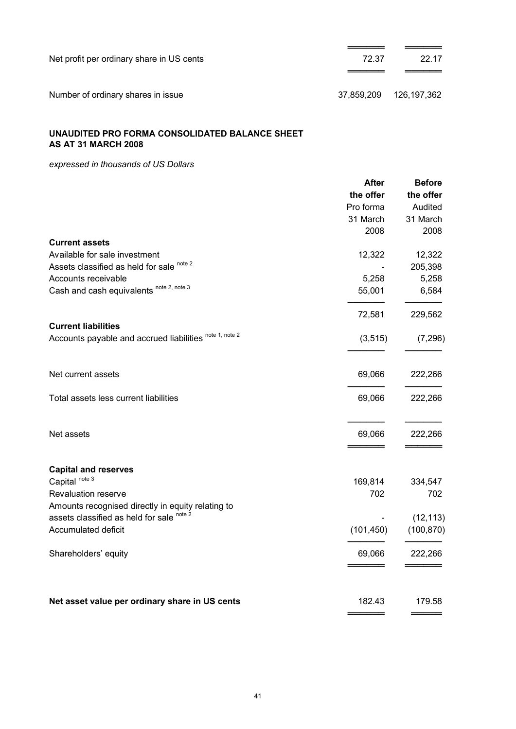| Net profit per ordinary share in US cents | 72.37      | 22.17       |
|-------------------------------------------|------------|-------------|
| Number of ordinary shares in issue        | 37.859.209 | 126,197,362 |

# **UNAUDITED PRO FORMA CONSOLIDATED BALANCE SHEET AS AT 31 MARCH 2008**

*expressed in thousands of US Dollars*

|                                                         | <b>After</b> | <b>Before</b> |
|---------------------------------------------------------|--------------|---------------|
|                                                         | the offer    | the offer     |
|                                                         | Pro forma    | Audited       |
|                                                         | 31 March     | 31 March      |
|                                                         | 2008         | 2008          |
| <b>Current assets</b>                                   |              |               |
| Available for sale investment                           | 12,322       | 12,322        |
| Assets classified as held for sale note 2               |              | 205,398       |
| Accounts receivable                                     | 5,258        | 5,258         |
| Cash and cash equivalents note 2, note 3                | 55,001       | 6,584         |
|                                                         |              |               |
|                                                         | 72,581       | 229,562       |
| <b>Current liabilities</b>                              |              |               |
|                                                         |              |               |
| Accounts payable and accrued liabilities note 1, note 2 | (3, 515)     | (7, 296)      |
|                                                         |              |               |
| Net current assets                                      | 69,066       | 222,266       |
| Total assets less current liabilities                   | 69,066       | 222,266       |
| Net assets                                              | 69,066       | 222,266       |
|                                                         |              |               |
| <b>Capital and reserves</b>                             |              |               |
| Capital <sup>note 3</sup>                               | 169,814      | 334,547       |
| Revaluation reserve                                     | 702          | 702           |
| Amounts recognised directly in equity relating to       |              |               |
| assets classified as held for sale note 2               |              | (12, 113)     |
|                                                         |              |               |
| Accumulated deficit                                     | (101, 450)   | (100, 870)    |
| Shareholders' equity                                    | 69,066       | 222,266       |
|                                                         |              |               |
| Net asset value per ordinary share in US cents          | 182.43       | 179.58        |
|                                                         |              |               |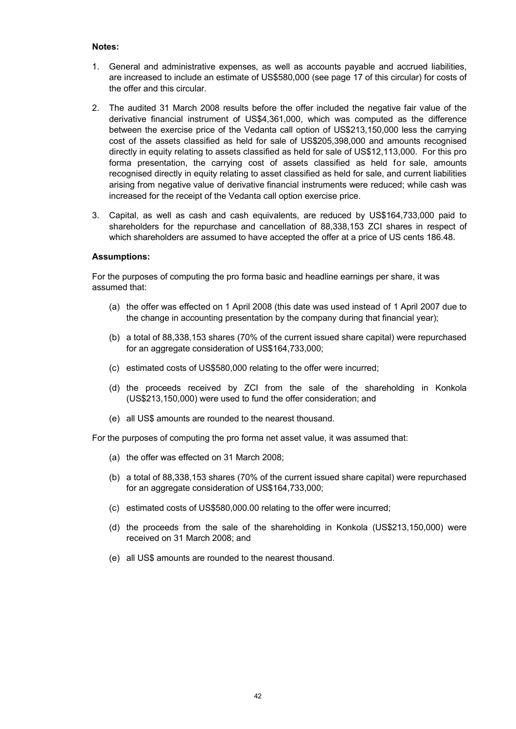#### **Notes:**

- 1. General and administrative expenses, as well as accounts payable and accrued liabilities, are increased to include an estimate of US\$580,000 (see page 17 of this circular) for costs of the offer and this circular.
- 2. The audited 31 March 2008 results before the offer included the negative fair value of the derivative financial instrument of US\$4,361,000, which was computed as the difference between the exercise price of the Vedanta call option of US\$213,150,000 less the carrying cost of the assets classified as held for sale of US\$205,398,000 and amounts recognised directly in equity relating to assets classified as held for sale of US\$12,113,000. For this pro forma presentation, the carrying cost of assets classified as held for sale, amounts recognised directly in equity relating to asset classified as held for sale, and current liabilities arising from negative value of derivative financial instruments were reduced; while cash was increased for the receipt of the Vedanta call option exercise price.
- 3. Capital, as well as cash and cash equivalents, are reduced by US\$164,733,000 paid to shareholders for the repurchase and cancellation of 88,338,153 ZCI shares in respect of which shareholders are assumed to have accepted the offer at a price of US cents 186.48.

#### **Assumptions:**

For the purposes of computing the pro forma basic and headline earnings per share, it was assumed that:

- (a) the offer was effected on 1 April 2008 (this date was used instead of 1 April 2007 due to the change in accounting presentation by the company during that financial year);
- (b) a total of 88,338,153 shares (70% of the current issued share capital) were repurchased for an aggregate consideration of US\$164,733,000;
- (c) estimated costs of US\$580,000 relating to the offer were incurred;
- (d) the proceeds received by ZCI from the sale of the shareholding in Konkola (US\$213,150,000) were used to fund the offer consideration; and
- (e) all US\$ amounts are rounded to the nearest thousand.

For the purposes of computing the pro forma net asset value, it was assumed that:

- (a) the offer was effected on 31 March 2008;
- (b) a total of 88,338,153 shares (70% of the current issued share capital) were repurchased for an aggregate consideration of US\$164,733,000;
- (c) estimated costs of US\$580,000.00 relating to the offer were incurred;
- (d) the proceeds from the sale of the shareholding in Konkola (US\$213,150,000) were received on 31 March 2008; and
- (e) all US\$ amounts are rounded to the nearest thousand.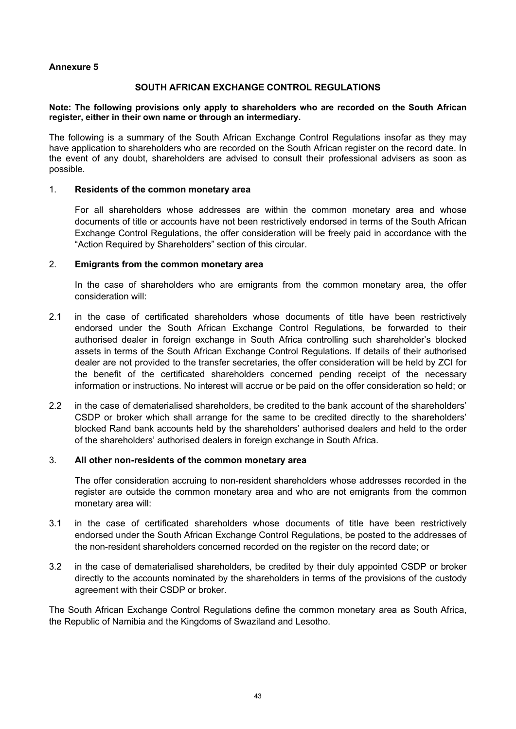#### **Annexure 5**

#### **SOUTH AFRICAN EXCHANGE CONTROL REGULATIONS**

#### **Note: The following provisions only apply to shareholders who are recorded on the South African register, either in their own name or through an intermediary.**

The following is a summary of the South African Exchange Control Regulations insofar as they may have application to shareholders who are recorded on the South African register on the record date. In the event of any doubt, shareholders are advised to consult their professional advisers as soon as possible.

#### 1. **Residents of the common monetary area**

For all shareholders whose addresses are within the common monetary area and whose documents of title or accounts have not been restrictively endorsed in terms of the South African Exchange Control Regulations, the offer consideration will be freely paid in accordance with the "Action Required by Shareholders" section of this circular.

#### 2. **Emigrants from the common monetary area**

In the case of shareholders who are emigrants from the common monetary area, the offer consideration will:

- 2.1 in the case of certificated shareholders whose documents of title have been restrictively endorsed under the South African Exchange Control Regulations, be forwarded to their authorised dealer in foreign exchange in South Africa controlling such shareholder's blocked assets in terms of the South African Exchange Control Regulations. If details of their authorised dealer are not provided to the transfer secretaries, the offer consideration will be held by ZCI for the benefit of the certificated shareholders concerned pending receipt of the necessary information or instructions. No interest will accrue or be paid on the offer consideration so held; or
- 2.2 in the case of dematerialised shareholders, be credited to the bank account of the shareholders' CSDP or broker which shall arrange for the same to be credited directly to the shareholders' blocked Rand bank accounts held by the shareholders' authorised dealers and held to the order of the shareholders' authorised dealers in foreign exchange in South Africa.

#### 3. **All other non-residents of the common monetary area**

The offer consideration accruing to non-resident shareholders whose addresses recorded in the register are outside the common monetary area and who are not emigrants from the common monetary area will:

- 3.1 in the case of certificated shareholders whose documents of title have been restrictively endorsed under the South African Exchange Control Regulations, be posted to the addresses of the non-resident shareholders concerned recorded on the register on the record date; or
- 3.2 in the case of dematerialised shareholders, be credited by their duly appointed CSDP or broker directly to the accounts nominated by the shareholders in terms of the provisions of the custody agreement with their CSDP or broker.

The South African Exchange Control Regulations define the common monetary area as South Africa, the Republic of Namibia and the Kingdoms of Swaziland and Lesotho.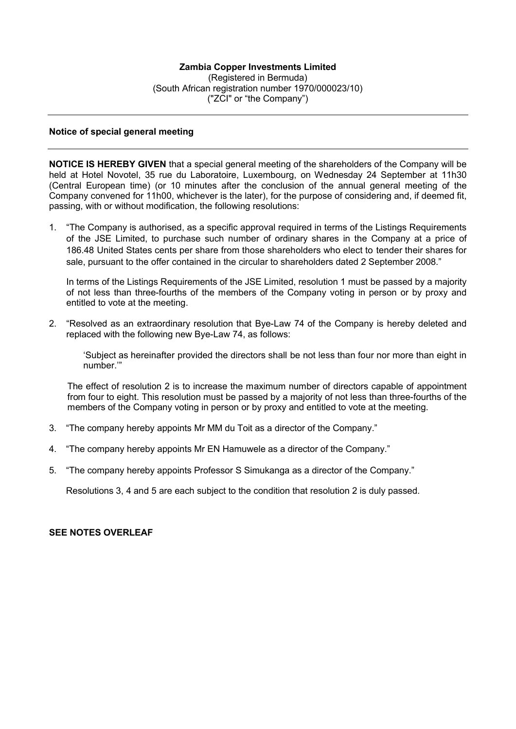#### **Notice of special general meeting**

**NOTICE IS HEREBY GIVEN** that a special general meeting of the shareholders of the Company will be held at Hotel Novotel, 35 rue du Laboratoire, Luxembourg, on Wednesday 24 September at 11h30 (Central European time) (or 10 minutes after the conclusion of the annual general meeting of the Company convened for 11h00, whichever is the later), for the purpose of considering and, if deemed fit, passing, with or without modification, the following resolutions:

1. "The Company is authorised, as a specific approval required in terms of the Listings Requirements of the JSE Limited, to purchase such number of ordinary shares in the Company at a price of 186.48 United States cents per share from those shareholders who elect to tender their shares for sale, pursuant to the offer contained in the circular to shareholders dated 2 September 2008."

In terms of the Listings Requirements of the JSE Limited, resolution 1 must be passed by a majority of not less than three-fourths of the members of the Company voting in person or by proxy and entitled to vote at the meeting.

2. "Resolved as an extraordinary resolution that Bye-Law 74 of the Company is hereby deleted and replaced with the following new Bye-Law 74, as follows:

'Subject as hereinafter provided the directors shall be not less than four nor more than eight in number.'"

The effect of resolution 2 is to increase the maximum number of directors capable of appointment from four to eight. This resolution must be passed by a majority of not less than three-fourths of the members of the Company voting in person or by proxy and entitled to vote at the meeting.

- 3. "The company hereby appoints Mr MM du Toit as a director of the Company."
- 4. "The company hereby appoints Mr EN Hamuwele as a director of the Company."
- 5. "The company hereby appoints Professor S Simukanga as a director of the Company."

Resolutions 3, 4 and 5 are each subject to the condition that resolution 2 is duly passed.

#### **SEE NOTES OVERLEAF**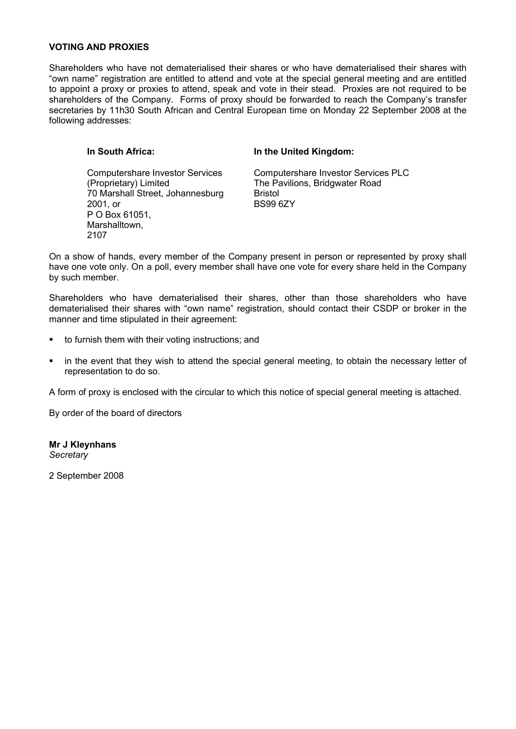#### **VOTING AND PROXIES**

Shareholders who have not dematerialised their shares or who have dematerialised their shares with "own name" registration are entitled to attend and vote at the special general meeting and are entitled to appoint a proxy or proxies to attend, speak and vote in their stead. Proxies are not required to be shareholders of the Company. Forms of proxy should be forwarded to reach the Company's transfer secretaries by 11h30 South African and Central European time on Monday 22 September 2008 at the following addresses:

#### **In South Africa:**

#### **In the United Kingdom:**

Computershare Investor Services (Proprietary) Limited 70 Marshall Street, Johannesburg 2001, or P O Box 61051, Marshalltown, 2107

Computershare Investor Services PLC The Pavilions, Bridgwater Road Bristol BS99 6ZY

On a show of hands, every member of the Company present in person or represented by proxy shall have one vote only. On a poll, every member shall have one vote for every share held in the Company by such member.

Shareholders who have dematerialised their shares, other than those shareholders who have dematerialised their shares with "own name" registration, should contact their CSDP or broker in the manner and time stipulated in their agreement:

- to furnish them with their voting instructions; and
- in the event that they wish to attend the special general meeting, to obtain the necessary letter of representation to do so.

A form of proxy is enclosed with the circular to which this notice of special general meeting is attached.

By order of the board of directors

**Mr J Kleynhans** *Secretary*

2 September 2008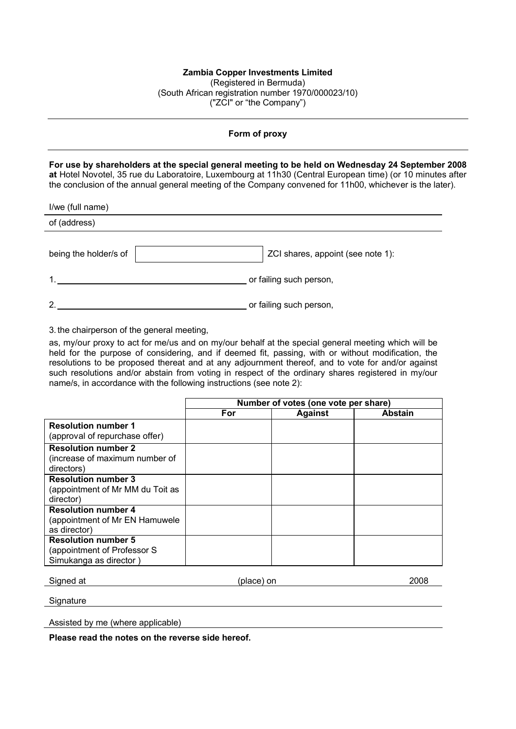#### **Form of proxy**

**For use by shareholders at the special general meeting to be held on Wednesday 24 September 2008 at** Hotel Novotel, 35 rue du Laboratoire, Luxembourg at 11h30 (Central European time) (or 10 minutes after the conclusion of the annual general meeting of the Company convened for 11h00, whichever is the later).

| I/we (full name)      |                                   |
|-----------------------|-----------------------------------|
| of (address)          |                                   |
| being the holder/s of | ZCI shares, appoint (see note 1): |
| 1                     | or failing such person,           |
| $\mathcal{P}$         | or failing such person,           |

3. the chairperson of the general meeting,

as, my/our proxy to act for me/us and on my/our behalf at the special general meeting which will be held for the purpose of considering, and if deemed fit, passing, with or without modification, the resolutions to be proposed thereat and at any adjournment thereof, and to vote for and/or against such resolutions and/or abstain from voting in respect of the ordinary shares registered in my/our name/s, in accordance with the following instructions (see note 2):

|                                                                                     | Number of votes (one vote per share) |                |                |
|-------------------------------------------------------------------------------------|--------------------------------------|----------------|----------------|
|                                                                                     | For                                  | <b>Against</b> | <b>Abstain</b> |
| <b>Resolution number 1</b><br>(approval of repurchase offer)                        |                                      |                |                |
| <b>Resolution number 2</b><br>(increase of maximum number of<br>directors)          |                                      |                |                |
| <b>Resolution number 3</b><br>(appointment of Mr MM du Toit as<br>director)         |                                      |                |                |
| <b>Resolution number 4</b><br>(appointment of Mr EN Hamuwele<br>as director)        |                                      |                |                |
| <b>Resolution number 5</b><br>(appointment of Professor S<br>Simukanga as director) |                                      |                |                |

Signed at  $(place)$  on  $(2008)$ 

**Signature** 

Assisted by me (where applicable)

**Please read the notes on the reverse side hereof.**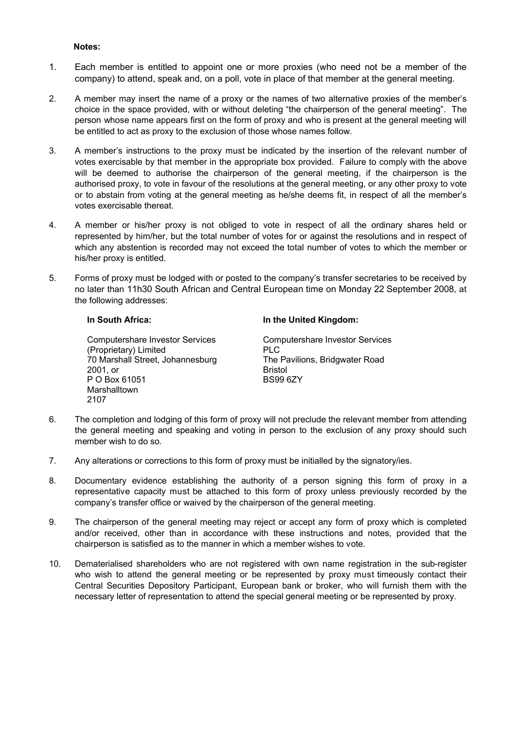#### **Notes:**

- 1. Each member is entitled to appoint one or more proxies (who need not be a member of the company) to attend, speak and, on a poll, vote in place of that member at the general meeting.
- 2. A member may insert the name of a proxy or the names of two alternative proxies of the member's choice in the space provided, with or without deleting "the chairperson of the general meeting". The person whose name appears first on the form of proxy and who is present at the general meeting will be entitled to act as proxy to the exclusion of those whose names follow.
- 3. A member's instructions to the proxy must be indicated by the insertion of the relevant number of votes exercisable by that member in the appropriate box provided. Failure to comply with the above will be deemed to authorise the chairperson of the general meeting, if the chairperson is the authorised proxy, to vote in favour of the resolutions at the general meeting, or any other proxy to vote or to abstain from voting at the general meeting as he/she deems fit, in respect of all the member's votes exercisable thereat.
- 4. A member or his/her proxy is not obliged to vote in respect of all the ordinary shares held or represented by him/her, but the total number of votes for or against the resolutions and in respect of which any abstention is recorded may not exceed the total number of votes to which the member or his/her proxy is entitled.
- 5. Forms of proxy must be lodged with or posted to the company's transfer secretaries to be received by no later than 11h30 South African and Central European time on Monday 22 September 2008, at the following addresses:

#### **In South Africa:**

Computershare Investor Services (Proprietary) Limited 70 Marshall Street, Johannesburg 2001, or P O Box 61051 Marshalltown 2107

#### **In the United Kingdom:**

Computershare Investor Services PLC The Pavilions, Bridgwater Road Bristol BS99 6ZY

- 6. The completion and lodging of this form of proxy will not preclude the relevant member from attending the general meeting and speaking and voting in person to the exclusion of any proxy should such member wish to do so.
- 7. Any alterations or corrections to this form of proxy must be initialled by the signatory/ies.
- 8. Documentary evidence establishing the authority of a person signing this form of proxy in a representative capacity must be attached to this form of proxy unless previously recorded by the company's transfer office or waived by the chairperson of the general meeting.
- 9. The chairperson of the general meeting may reject or accept any form of proxy which is completed and/or received, other than in accordance with these instructions and notes, provided that the chairperson is satisfied as to the manner in which a member wishes to vote.
- 10. Dematerialised shareholders who are not registered with own name registration in the sub-register who wish to attend the general meeting or be represented by proxy must timeously contact their Central Securities Depository Participant, European bank or broker, who will furnish them with the necessary letter of representation to attend the special general meeting or be represented by proxy.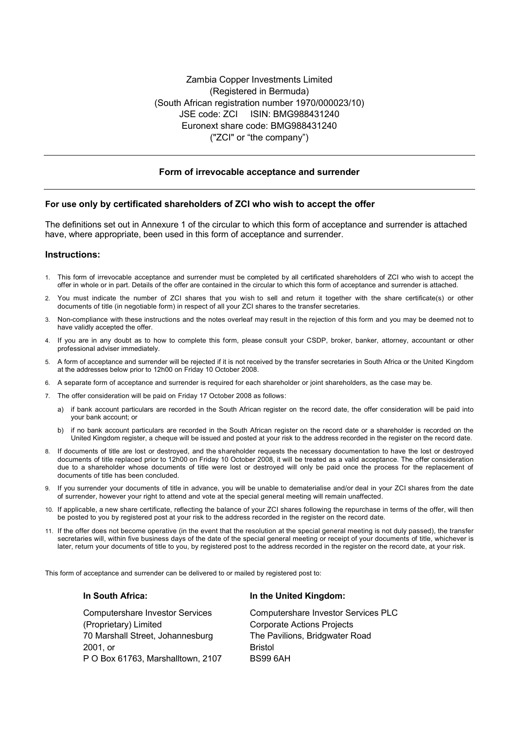#### **Form of irrevocable acceptance and surrender**

#### **For use only by certificated shareholders of ZCI who wish to accept the offer**

The definitions set out in Annexure 1 of the circular to which this form of acceptance and surrender is attached have, where appropriate, been used in this form of acceptance and surrender.

#### **Instructions:**

- 1. This form of irrevocable acceptance and surrender must be completed by all certificated shareholders of ZCI who wish to accept the offer in whole or in part. Details of the offer are contained in the circular to which this form of acceptance and surrender is attached.
- 2. You must indicate the number of ZCI shares that you wish to sell and return it together with the share certificate(s) or other documents of title (in negotiable form) in respect of all your ZCI shares to the transfer secretaries.
- 3. Non-compliance with these instructions and the notes overleaf may result in the rejection of this form and you may be deemed not to have validly accepted the offer.
- 4. If you are in any doubt as to how to complete this form, please consult your CSDP, broker, banker, attorney, accountant or other professional adviser immediately.
- 5. A form of acceptance and surrender will be rejected if it is not received by the transfer secretaries in South Africa or the United Kingdom at the addresses below prior to 12h00 on Friday 10 October 2008.
- 6. A separate form of acceptance and surrender is required for each shareholder or joint shareholders, as the case may be.
- 7. The offer consideration will be paid on Friday 17 October 2008 as follows:
	- a) if bank account particulars are recorded in the South African register on the record date, the offer consideration will be paid into your bank account; or
	- b) if no bank account particulars are recorded in the South African register on the record date or a shareholder is recorded on the United Kingdom register, a cheque will be issued and posted at your risk to the address recorded in the register on the record date.
- 8. If documents of title are lost or destroyed, and the shareholder requests the necessary documentation to have the lost or destroyed documents of title replaced prior to 12h00 on Friday 10 October 2008, it will be treated as a valid acceptance. The offer consideration due to a shareholder whose documents of title were lost or destroyed will only be paid once the process for the replacement of documents of title has been concluded.
- 9. If you surrender your documents of title in advance, you will be unable to dematerialise and/or deal in your ZCI shares from the date of surrender, however your right to attend and vote at the special general meeting will remain unaffected.
- 10. If applicable, a new share certificate, reflecting the balance of your ZCI shares following the repurchase in terms of the offer, will then be posted to you by registered post at your risk to the address recorded in the register on the record date.
- 11. If the offer does not become operative (in the event that the resolution at the special general meeting is not duly passed), the transfer secretaries will, within five business days of the date of the special general meeting or receipt of your documents of title, whichever is later, return your documents of title to you, by registered post to the address recorded in the register on the record date, at your risk.

This form of acceptance and surrender can be delivered to or mailed by registered post to:

#### **In South Africa:**

Computershare Investor Services (Proprietary) Limited 70 Marshall Street, Johannesburg 2001, or P O Box 61763, Marshalltown, 2107

#### **In the United Kingdom:**

Computershare Investor Services PLC Corporate Actions Projects The Pavilions, Bridgwater Road Bristol BS99 6AH